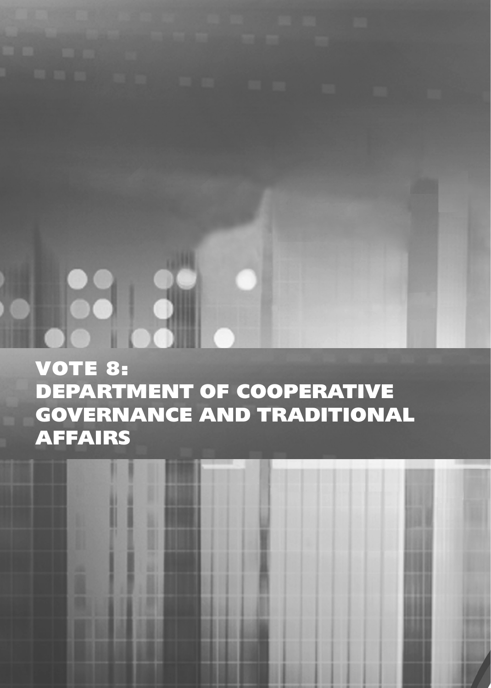# VOTE 8: DEPARTMENT OF COOPERATIVE GOVERNANCE AND TRADITIONAL AFFAIRS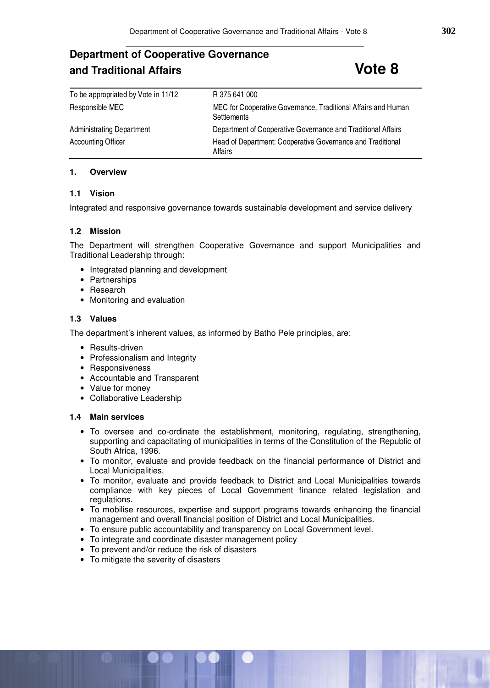## **Department of Cooperative Governance and Traditional Affairs Vote 8**

| To be appropriated by Vote in 11/12 | R 375 641 000                                                                |
|-------------------------------------|------------------------------------------------------------------------------|
| Responsible MEC                     | MEC for Cooperative Governance, Traditional Affairs and Human<br>Settlements |
| <b>Administrating Department</b>    | Department of Cooperative Governance and Traditional Affairs                 |
| <b>Accounting Officer</b>           | Head of Department: Cooperative Governance and Traditional<br>Affairs        |

## **1. Overview**

## **1.1 Vision**

Integrated and responsive governance towards sustainable development and service delivery

## **1.2 Mission**

The Department will strengthen Cooperative Governance and support Municipalities and Traditional Leadership through:

- Integrated planning and development
- Partnerships
- Research
- Monitoring and evaluation

## **1.3 Values**

The department's inherent values, as informed by Batho Pele principles, are:

- Results-driven
- Professionalism and Integrity
- Responsiveness
- Accountable and Transparent
- Value for money
- Collaborative Leadership

## **1.4 Main services**

- To oversee and co-ordinate the establishment, monitoring, regulating, strengthening, supporting and capacitating of municipalities in terms of the Constitution of the Republic of South Africa, 1996.
- To monitor, evaluate and provide feedback on the financial performance of District and Local Municipalities.
- To monitor, evaluate and provide feedback to District and Local Municipalities towards compliance with key pieces of Local Government finance related legislation and regulations.
- To mobilise resources, expertise and support programs towards enhancing the financial management and overall financial position of District and Local Municipalities.
- To ensure public accountability and transparency on Local Government level.
- To integrate and coordinate disaster management policy
- To prevent and/or reduce the risk of disasters
- To mitigate the severity of disasters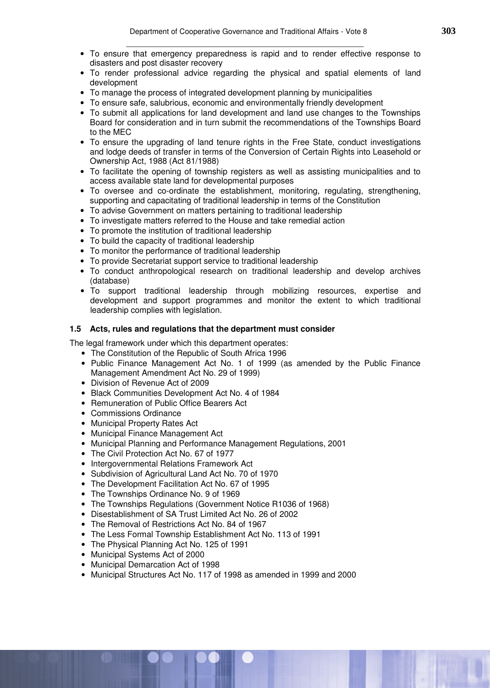- To ensure that emergency preparedness is rapid and to render effective response to disasters and post disaster recovery
- To render professional advice regarding the physical and spatial elements of land development
- To manage the process of integrated development planning by municipalities
- To ensure safe, salubrious, economic and environmentally friendly development
- To submit all applications for land development and land use changes to the Townships Board for consideration and in turn submit the recommendations of the Townships Board to the MEC
- To ensure the upgrading of land tenure rights in the Free State, conduct investigations and lodge deeds of transfer in terms of the Conversion of Certain Rights into Leasehold or Ownership Act, 1988 (Act 81/1988)
- To facilitate the opening of township registers as well as assisting municipalities and to access available state land for developmental purposes
- To oversee and co-ordinate the establishment, monitoring, regulating, strengthening, supporting and capacitating of traditional leadership in terms of the Constitution
- To advise Government on matters pertaining to traditional leadership
- To investigate matters referred to the House and take remedial action
- To promote the institution of traditional leadership
- To build the capacity of traditional leadership
- To monitor the performance of traditional leadership
- To provide Secretariat support service to traditional leadership
- To conduct anthropological research on traditional leadership and develop archives (database)
- To support traditional leadership through mobilizing resources, expertise and development and support programmes and monitor the extent to which traditional leadership complies with legislation.

## **1.5 Acts, rules and regulations that the department must consider**

The legal framework under which this department operates:

- The Constitution of the Republic of South Africa 1996
- Public Finance Management Act No. 1 of 1999 (as amended by the Public Finance Management Amendment Act No. 29 of 1999)
- Division of Revenue Act of 2009
- Black Communities Development Act No. 4 of 1984
- Remuneration of Public Office Bearers Act
- Commissions Ordinance
- Municipal Property Rates Act
- Municipal Finance Management Act
- Municipal Planning and Performance Management Regulations, 2001
- The Civil Protection Act No. 67 of 1977
- Intergovernmental Relations Framework Act
- Subdivision of Agricultural Land Act No. 70 of 1970
- The Development Facilitation Act No. 67 of 1995
- The Townships Ordinance No. 9 of 1969
- The Townships Regulations (Government Notice R1036 of 1968)
- Disestablishment of SA Trust Limited Act No. 26 of 2002
- The Removal of Restrictions Act No. 84 of 1967
- The Less Formal Township Establishment Act No. 113 of 1991
- The Physical Planning Act No. 125 of 1991
- Municipal Systems Act of 2000
- Municipal Demarcation Act of 1998
- Municipal Structures Act No. 117 of 1998 as amended in 1999 and 2000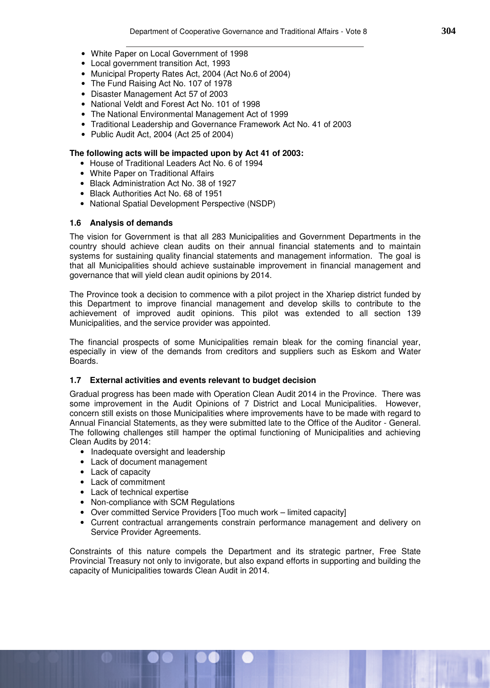- White Paper on Local Government of 1998
- Local government transition Act, 1993
- Municipal Property Rates Act, 2004 (Act No.6 of 2004)
- The Fund Raising Act No. 107 of 1978
- Disaster Management Act 57 of 2003
- National Veldt and Forest Act No. 101 of 1998
- The National Environmental Management Act of 1999
- Traditional Leadership and Governance Framework Act No. 41 of 2003
- Public Audit Act, 2004 (Act 25 of 2004)

## **The following acts will be impacted upon by Act 41 of 2003:**

- House of Traditional Leaders Act No. 6 of 1994
- White Paper on Traditional Affairs
- Black Administration Act No. 38 of 1927
- Black Authorities Act No. 68 of 1951
- National Spatial Development Perspective (NSDP)

## **1.6 Analysis of demands**

The vision for Government is that all 283 Municipalities and Government Departments in the country should achieve clean audits on their annual financial statements and to maintain systems for sustaining quality financial statements and management information. The goal is that all Municipalities should achieve sustainable improvement in financial management and governance that will yield clean audit opinions by 2014.

The Province took a decision to commence with a pilot project in the Xhariep district funded by this Department to improve financial management and develop skills to contribute to the achievement of improved audit opinions. This pilot was extended to all section 139 Municipalities, and the service provider was appointed.

The financial prospects of some Municipalities remain bleak for the coming financial year, especially in view of the demands from creditors and suppliers such as Eskom and Water Boards.

## **1.7 External activities and events relevant to budget decision**

Gradual progress has been made with Operation Clean Audit 2014 in the Province. There was some improvement in the Audit Opinions of 7 District and Local Municipalities. However, concern still exists on those Municipalities where improvements have to be made with regard to Annual Financial Statements, as they were submitted late to the Office of the Auditor - General. The following challenges still hamper the optimal functioning of Municipalities and achieving Clean Audits by 2014:

- Inadequate oversight and leadership
- Lack of document management
- Lack of capacity
- Lack of commitment
- Lack of technical expertise
- Non-compliance with SCM Regulations
- Over committed Service Providers [Too much work limited capacity]
- Current contractual arrangements constrain performance management and delivery on Service Provider Agreements.

Constraints of this nature compels the Department and its strategic partner, Free State Provincial Treasury not only to invigorate, but also expand efforts in supporting and building the capacity of Municipalities towards Clean Audit in 2014.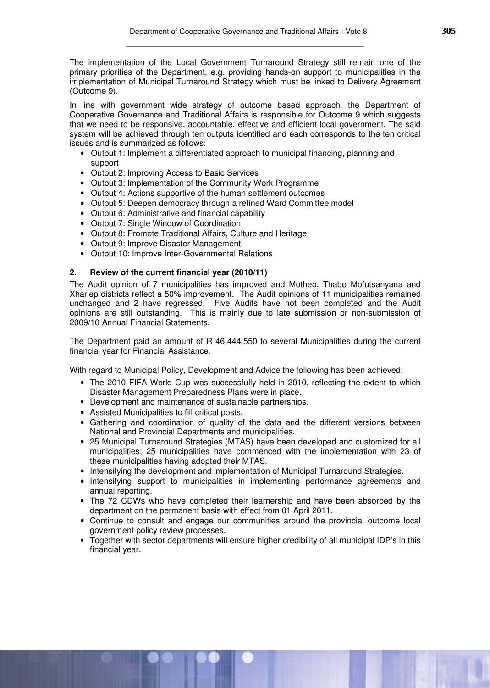The implementation of the Local Government Turnaround Strategy still remain one of the primary priorities of the Department, e.g. providing hands-on support to municipalities in the implementation of Municipal Turnaround Strategy which must be linked to Delivery Agreement (Outcome 9).

In line with government wide strategy of outcome based approach, the Department of Cooperative Governance and Traditional Affairs is responsible for Outcome 9 which suggests that we need to be responsive, accountable, effective and efficient local government. The said system will be achieved through ten outputs identified and each corresponds to the ten critical issues and is summarized as follows:

- Output 1: Implement a differentiated approach to municipal financing, planning and support
- Output 2: Improving Access to Basic Services
- Output 3: Implementation of the Community Work Programme
- Output 4: Actions supportive of the human settlement outcomes
- Output 5: Deepen democracy through a refined Ward Committee model
- Output 6: Administrative and financial capability
- Output 7: Single Window of Coordination
- Output 8: Promote Traditional Affairs, Culture and Heritage
- Output 9: Improve Disaster Management
- Output 10: Improve Inter-Governmental Relations

## **2. Review of the current financial year (2010/11)**

The Audit opinion of 7 municipalities has improved and Motheo, Thabo Mofutsanyana and Xhariep districts reflect a 50% improvement. The Audit opinions of 11 municipalities remained unchanged and 2 have regressed. Five Audits have not been completed and the Audit opinions are still outstanding. This is mainly due to late submission or non-submission of 2009/10 Annual Financial Statements.

The Department paid an amount of R 46,444,550 to several Municipalities during the current financial year for Financial Assistance.

With regard to Municipal Policy, Development and Advice the following has been achieved:

- The 2010 FIFA World Cup was successfully held in 2010, reflecting the extent to which Disaster Management Preparedness Plans were in place.
- Development and maintenance of sustainable partnerships.
- Assisted Municipalities to fill critical posts.
- Gathering and coordination of quality of the data and the different versions between National and Provincial Departments and municipalities.
- 25 Municipal Turnaround Strategies (MTAS) have been developed and customized for all municipalities; 25 municipalities have commenced with the implementation with 23 of these municipalities having adopted their MTAS.
- Intensifying the development and implementation of Municipal Turnaround Strategies.
- Intensifying support to municipalities in implementing performance agreements and annual reporting.
- The 72 CDWs who have completed their learnership and have been absorbed by the department on the permanent basis with effect from 01 April 2011.
- Continue to consult and engage our communities around the provincial outcome local government policy review processes.
- Together with sector departments will ensure higher credibility of all municipal IDP's in this financial year.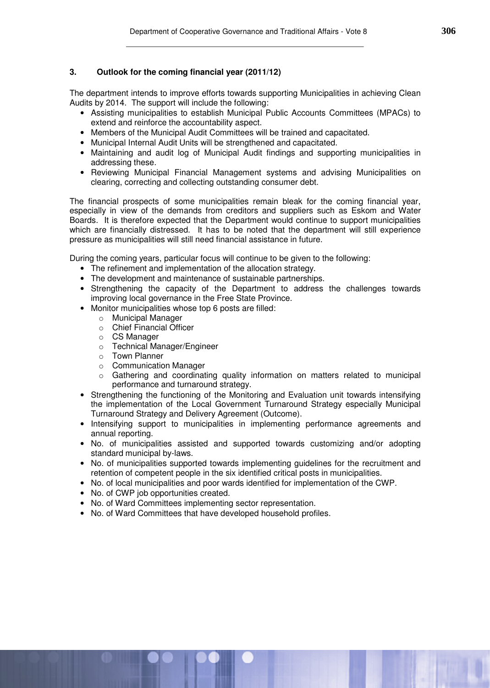## **3. Outlook for the coming financial year (2011/12)**

The department intends to improve efforts towards supporting Municipalities in achieving Clean Audits by 2014. The support will include the following:

- Assisting municipalities to establish Municipal Public Accounts Committees (MPACs) to extend and reinforce the accountability aspect.
- Members of the Municipal Audit Committees will be trained and capacitated.
- Municipal Internal Audit Units will be strengthened and capacitated.
- Maintaining and audit log of Municipal Audit findings and supporting municipalities in addressing these.
- Reviewing Municipal Financial Management systems and advising Municipalities on clearing, correcting and collecting outstanding consumer debt.

The financial prospects of some municipalities remain bleak for the coming financial year, especially in view of the demands from creditors and suppliers such as Eskom and Water Boards. It is therefore expected that the Department would continue to support municipalities which are financially distressed. It has to be noted that the department will still experience pressure as municipalities will still need financial assistance in future.

During the coming years, particular focus will continue to be given to the following:

- The refinement and implementation of the allocation strategy.
- The development and maintenance of sustainable partnerships.
- Strengthening the capacity of the Department to address the challenges towards improving local governance in the Free State Province.
- Monitor municipalities whose top 6 posts are filled:
	- o Municipal Manager
	- o Chief Financial Officer
	- o CS Manager
	- o Technical Manager/Engineer
	- o Town Planner
	- o Communication Manager
	- o Gathering and coordinating quality information on matters related to municipal performance and turnaround strategy.
- Strengthening the functioning of the Monitoring and Evaluation unit towards intensifying the implementation of the Local Government Turnaround Strategy especially Municipal Turnaround Strategy and Delivery Agreement (Outcome).
- Intensifying support to municipalities in implementing performance agreements and annual reporting.
- No. of municipalities assisted and supported towards customizing and/or adopting standard municipal by-laws.
- No. of municipalities supported towards implementing guidelines for the recruitment and retention of competent people in the six identified critical posts in municipalities.
- No. of local municipalities and poor wards identified for implementation of the CWP.
- No. of CWP job opportunities created.
- No. of Ward Committees implementing sector representation.
- No. of Ward Committees that have developed household profiles.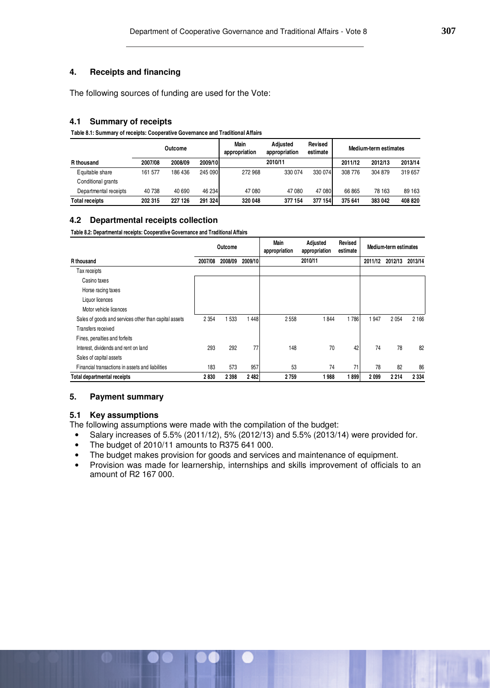## **4. Receipts and financing**

The following sources of funding are used for the Vote:

## **4.1 Summary of receipts**

**Table 8.1: Summary of receipts: Cooperative Governance and Traditional Affairs**

|                       | Outcome |         | Main    |         | appropriation | <b>Adjusted</b><br>appropriation | Revised<br>estimate | Medium-term estimates |         |  |  |
|-----------------------|---------|---------|---------|---------|---------------|----------------------------------|---------------------|-----------------------|---------|--|--|
| R thousand            | 2007/08 | 2008/09 | 2009/10 |         | 2010/11       |                                  | 2011/12             | 2012/13               | 2013/14 |  |  |
| Equitable share       | 161 577 | 186 436 | 245 090 | 272 968 | 330 074       | 330 074                          | 308 776             | 304 879               | 319657  |  |  |
| Conditional grants    |         |         |         |         |               |                                  |                     |                       |         |  |  |
| Departmental receipts | 40 738  | 40 690  | 46 234  | 47080   | 47 080        | 47 080                           | 66 865              | 78 163                | 89 163  |  |  |
| <b>Total receipts</b> | 202 315 | 227 126 | 291 324 | 320 048 | 377 154       | 377 154                          | 375 641             | 383 042               | 408 820 |  |  |

## **4.2 Departmental receipts collection**

**Table 8.2: Departmental receipts: Cooperative Governance and Traditional Affairs**

|                                                       |         | Outcome |         | Main<br>Adjusted<br>appropriation<br>appropriation |         | Revised<br>estimate | Medium-term estimates |         |         |
|-------------------------------------------------------|---------|---------|---------|----------------------------------------------------|---------|---------------------|-----------------------|---------|---------|
| R thousand                                            | 2007/08 | 2008/09 | 2009/10 |                                                    | 2010/11 |                     | 2011/12               | 2012/13 | 2013/14 |
| Tax receipts                                          |         |         |         |                                                    |         |                     |                       |         |         |
| Casino taxes                                          |         |         |         |                                                    |         |                     |                       |         |         |
| Horse racing taxes                                    |         |         |         |                                                    |         |                     |                       |         |         |
| Liquor licences                                       |         |         |         |                                                    |         |                     |                       |         |         |
| Motor vehicle licences                                |         |         |         |                                                    |         |                     |                       |         |         |
| Sales of goods and services other than capital assets | 2 3 5 4 | 533     | 448     | 2 5 5 8                                            | 1844    | 1786                | 947                   | 2 0 5 4 | 2 1 6 6 |
| Transfers received                                    |         |         |         |                                                    |         |                     |                       |         |         |
| Fines, penalties and forfeits                         |         |         |         |                                                    |         |                     |                       |         |         |
| Interest, dividends and rent on land                  | 293     | 292     | 77      | 148                                                | 70      | 42                  | 74                    | 78      | 82      |
| Sales of capital assets                               |         |         |         |                                                    |         |                     |                       |         |         |
| Financial transactions in assets and liabilities      | 183     | 573     | 957     | 53                                                 | 74      | 71                  | 78                    | 82      | 86      |
| <b>Total departmental receipts</b>                    | 2830    | 2 3 9 8 | 2 4 8 2 | 2759                                               | 1988    | 1899                | 2 0 9 9               | 2 2 1 4 | 2 3 3 4 |

## **5. Payment summary**

## **5.1 Key assumptions**

The following assumptions were made with the compilation of the budget:

- Salary increases of  $5.5\%$  (2011/12),  $5\%$  (2012/13) and  $5.5\%$  (2013/14) were provided for.
- The budget of 2010/11 amounts to R375 641 000.
- The budget makes provision for goods and services and maintenance of equipment.
- Provision was made for learnership, internships and skills improvement of officials to an amount of R2 167 000.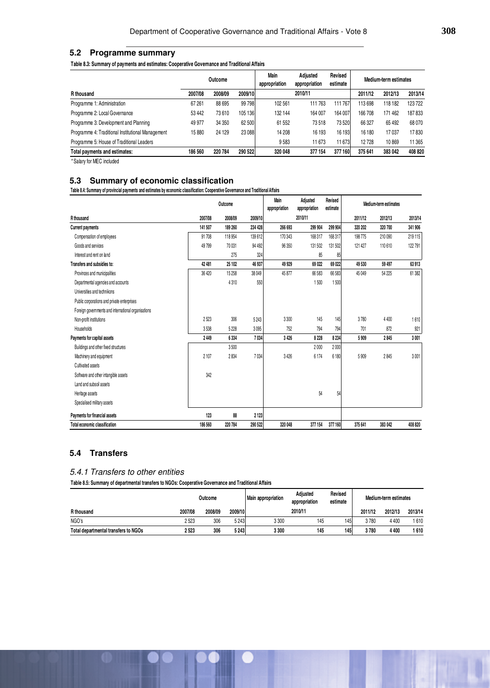#### **5.2 Programme summary**

**Table 8.3: Summary of payments and estimates: Cooperative Governance and Traditional Affairs**

|                                                   |         | Outcome |         | Main<br>appropriation | <b>Adjusted</b><br>appropriation | Revised<br>estimate |         | Medium-term estimates |         |
|---------------------------------------------------|---------|---------|---------|-----------------------|----------------------------------|---------------------|---------|-----------------------|---------|
| R thousand                                        | 2007/08 | 2008/09 | 2009/10 |                       | 2010/11                          |                     | 2011/12 | 2012/13               | 2013/14 |
| Programme 1: Administration                       | 67 261  | 88 695  | 99 798  | 102 561               | 111 763                          | 111 767             | 113 698 | 118 182               | 123722  |
| Programme 2: Local Governance                     | 53 442  | 73610   | 105 136 | 132 144               | 164 007                          | 164 007             | 166 708 | 171 462               | 187833  |
| Programme 3: Development and Planning             | 49 977  | 34 350  | 62 500  | 61 552                | 73518                            | 73520               | 66 327  | 65 492                | 68 0 70 |
| Programme 4: Traditional Institutional Management | 15880   | 24 129  | 23 088  | 14 208                | 16 193                           | 16 193              | 16 180  | 17 037                | 17830   |
| Programme 5: House of Traditional Leaders         |         |         |         | 9583                  | 11 673                           | 11 673              | 12728   | 10869                 | 11 365  |
| Total payments and estimates:                     | 186 560 | 220 784 | 290 522 | 320 048               | 377 154                          | 377 160             | 375 641 | 383 042               | 408 820 |

\* Salary for MEC included

## **5.3 Summary of economic classification**

**Table 8.4: Summary of provincial payments and estimates by economic classification: Cooperative Governance and Traditional Affairs**

|                                                     |         | Outcome |         | Main<br>appropriation | Adiusted<br>appropriation | Revised<br>estimate |         | Medium-term estimates |         |
|-----------------------------------------------------|---------|---------|---------|-----------------------|---------------------------|---------------------|---------|-----------------------|---------|
| R thousand                                          | 2007/08 | 2008/09 | 2009/10 |                       | 2010/11                   |                     | 2011/12 | 2012/13               | 2013/14 |
| <b>Current payments</b>                             | 141 507 | 189 260 | 234 428 | 266 693               | 299 904                   | 299 904             | 320 202 | 320 700               | 341 906 |
| Compensation of employees                           | 91708   | 118 954 | 139 612 | 170 343               | 168 317                   | 168 317             | 198775  | 210 090               | 219 115 |
| Goods and services                                  | 49 799  | 70 031  | 94 492  | 96 350                | 131 502                   | 131 502             | 121 427 | 110610                | 122 791 |
| Interest and rent on land                           |         | 275     | 324     |                       | 85                        | 85                  |         |                       |         |
| Transfers and subsidies to:                         | 42 481  | 25 102  | 46 937  | 49 9 29               | 69022                     | 69 022              | 49 530  | 59 497                | 63913   |
| Provinces and municipalities                        | 36 4 20 | 15 25 8 | 38 049  | 45 877                | 66583                     | 66 583              | 45 049  | 54 225                | 61 382  |
| Departmental agencies and accounts                  |         | 4310    | 550     |                       | 1500                      | 1500                |         |                       |         |
| Universities and technikons                         |         |         |         |                       |                           |                     |         |                       |         |
| Public corporations and private enterprises         |         |         |         |                       |                           |                     |         |                       |         |
| Foreign governments and international organisations |         |         |         |                       |                           |                     |         |                       |         |
| Non-profit institutions                             | 2523    | 306     | 5243    | 3 3 0 0               | 145                       | 145                 | 3780    | 4400                  | 1610    |
| Households                                          | 3538    | 5228    | 3095    | 752                   | 794                       | 794                 | 701     | 872                   | 921     |
| Payments for capital assets                         | 2 4 4 9 | 6334    | 7034    | 3 4 26                | 8 2 2 8                   | 8 2 3 4             | 5909    | 2845                  | 3 001   |
| Buildings and other fixed structures                |         | 3500    |         |                       | 2000                      | 2000                |         |                       |         |
| Machinery and equipment                             | 2107    | 2834    | 7034    | 3426                  | 6174                      | 6180                | 5909    | 2845                  | 3001    |
| Cultivated assets                                   |         |         |         |                       |                           |                     |         |                       |         |
| Software and other intangible assets                | 342     |         |         |                       |                           |                     |         |                       |         |
| Land and subsoil assets                             |         |         |         |                       |                           |                     |         |                       |         |
| Heritage assets                                     |         |         |         |                       | 54                        | 54                  |         |                       |         |
| Specialised military assets                         |         |         |         |                       |                           |                     |         |                       |         |
| Payments for financial assets                       | 123     | 88      | 2123    |                       |                           |                     |         |                       |         |
| Total economic classification                       | 186 560 | 220 784 | 290 522 | 320 048               | 377 154                   | 377 160             | 375 641 | 383 042               | 408 820 |

## **5.4 Transfers**

#### 5.4.1 Transfers to other entities

**Table 8.5: Summary of departmental transfers to NGOs: Cooperative Governance and Traditional Affairs**

|                                      |         | Outcome |         | Main appropriation | Adiusted<br>appropriation | Revised<br>estimate |         | Medium-term estimates |         |
|--------------------------------------|---------|---------|---------|--------------------|---------------------------|---------------------|---------|-----------------------|---------|
| R thousand                           | 2007/08 | 2008/09 | 2009/10 |                    | 2010/11                   |                     | 2011/12 | 2012/13               | 2013/14 |
| NGO's                                | 2523    | 306     | 5 2 4 3 | 3 3 0 0            | 145                       | 145                 | 3780    | 4400                  | 1610    |
| Total departmental transfers to NGOs | 2523    | 306     | 5 243   | 3 300              | 145                       | 145                 | 3780    | 4400                  | 1610    |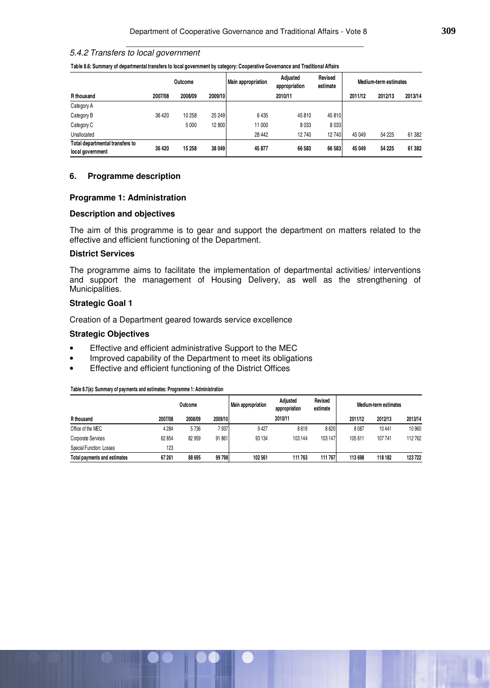#### 5.4.2 Transfers to local government

|  |  |  | Table 8.6: Summary of departmental transfers to local government by category: Cooperative Governance and Traditional Affairs |  |
|--|--|--|------------------------------------------------------------------------------------------------------------------------------|--|
|--|--|--|------------------------------------------------------------------------------------------------------------------------------|--|

| Outcome                                             |         |         |         | Main appropriation | <b>Adjusted</b><br>appropriation | Revised<br>estimate |         | Medium-term estimates |         |
|-----------------------------------------------------|---------|---------|---------|--------------------|----------------------------------|---------------------|---------|-----------------------|---------|
| R thousand                                          | 2007/08 | 2008/09 | 2009/10 |                    | 2010/11                          |                     | 2011/12 | 2012/13               | 2013/14 |
| Category A                                          |         |         |         |                    |                                  |                     |         |                       |         |
| Category B                                          | 36 4 20 | 10 258  | 25 249  | 6435               | 45 810                           | 45 810              |         |                       |         |
| Category C                                          |         | 5 0 0 0 | 12 800  | 11 000             | 8 0 3 3                          | 8 0 3 3             |         |                       |         |
| Unallocated                                         |         |         |         | 28 442             | 12740                            | 12740               | 45 049  | 54 225                | 61 382  |
| Total departmental transfers to<br>local government | 36 4 20 | 15 258  | 38 049  | 45 877             | 66 583                           | 66 583              | 45 049  | 54 225                | 61 382  |

#### **6. Programme description**

## **Programme 1: Administration**

## **Description and objectives**

The aim of this programme is to gear and support the department on matters related to the effective and efficient functioning of the Department.

#### **District Services**

The programme aims to facilitate the implementation of departmental activities/ interventions and support the management of Housing Delivery, as well as the strengthening of Municipalities.

## **Strategic Goal 1**

Creation of a Department geared towards service excellence

### **Strategic Objectives**

- Effective and efficient administrative Support to the MEC
- Improved capability of the Department to meet its obligations
- Effective and efficient functioning of the District Offices

#### **Table 8.7(a): Summary of payments and estimates: Programme 1: Administration**

|                              |         | Outcome |         | Main appropriation | Adiusted<br>appropriation | Revised<br>estimate | Medium-term estimates |         |         |
|------------------------------|---------|---------|---------|--------------------|---------------------------|---------------------|-----------------------|---------|---------|
| R thousand                   | 2007/08 | 2008/09 | 2009/10 |                    | 2010/11                   |                     | 2011/12               | 2012/13 | 2013/14 |
| Office of the MEC            | 4 2 8 4 | 5736    | 7937    | 9427               | 8619                      | 8620                | 8087                  | 10441   | 10 960  |
| <b>Corporate Services</b>    | 62 854  | 82 959  | 91 861  | 93 134             | 103 144                   | 103 147             | 105 611               | 107741  | 112762  |
| Special Function: Losses     | 123     |         |         |                    |                           |                     |                       |         |         |
| Total payments and estimates | 67 261  | 88 695  | 99 798  | 102 561            | 111 763                   | 111 767             | 113 698               | 118 182 | 123722  |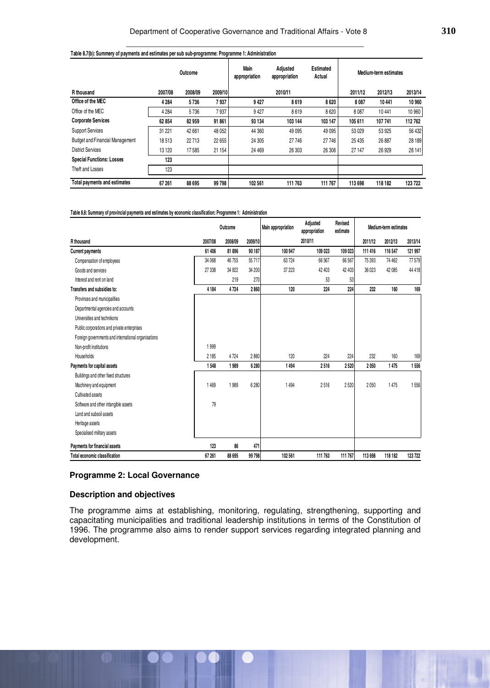#### **Table 8.7(b): Summery of payments and estimates per sub sub-programme: Programme 1: Administration**

|                                        |         | Outcome |         | Main<br>appropriation | Adjusted<br>appropriation | Estimated<br>Actual | Medium-term estimates |         |         |
|----------------------------------------|---------|---------|---------|-----------------------|---------------------------|---------------------|-----------------------|---------|---------|
| R thousand                             | 2007/08 | 2008/09 | 2009/10 |                       | 2010/11                   |                     | 2011/12               | 2012/13 | 2013/14 |
| Office of the MEC                      | 4 2 8 4 | 5736    | 7937    | 9427                  | 8619                      | 8620                | 8087                  | 10 441  | 10 960  |
| Office of the MEC                      | 4 2 8 4 | 5736    | 7937    | 9427                  | 8619                      | 8620                | 8087                  | 10441   | 10 960  |
| <b>Corporate Services</b>              | 62 854  | 82 959  | 91 861  | 93 134                | 103 144                   | 103 147             | 105 611               | 107741  | 112762  |
| <b>Support Services</b>                | 31 221  | 42 661  | 48 052  | 44 360                | 49 0 95                   | 49 0 95             | 53 0 29               | 53 925  | 56 432  |
| <b>Budget and Financial Management</b> | 18513   | 22713   | 22 655  | 24 30 5               | 27746                     | 27 746              | 25 4 35               | 26 887  | 28 189  |
| <b>District Services</b>               | 13 120  | 17585   | 21 154  | 24 4 69               | 26 30 3                   | 26 30 6             | 27 147                | 26 9 29 | 28 141  |
| <b>Special Functions: Losses</b>       | 123     |         |         |                       |                           |                     |                       |         |         |
| Theft and Losses                       | 123     |         |         |                       |                           |                     |                       |         |         |
| Total payments and estimates           | 67 261  | 88 695  | 99 798  | 102 561               | 111 763                   | 111 767             | 113 698               | 118 182 | 123722  |

#### **Table 8.8: Summary of provincial payments and estimates by economic classification: Programme 1: Administration**

|                                                     |         | Outcome |         | Main appropriation | Adjusted<br>appropriation | Revised<br>estimate |         | Medium-term estimates |         |
|-----------------------------------------------------|---------|---------|---------|--------------------|---------------------------|---------------------|---------|-----------------------|---------|
| R thousand                                          | 2007/08 | 2008/09 | 2009/10 |                    | 2010/11                   |                     | 2011/12 | 2012/13               | 2013/14 |
| <b>Current payments</b>                             | 61 406  | 81 896  | 90 187  | 100 947            | 109 023                   | 109 023             | 111 416 | 116 547               | 121 997 |
| Compensation of employees                           | 34 068  | 46755   | 55 717  | 63724              | 66 567                    | 66 567              | 75 393  | 74 462                | 77579   |
| Goods and services                                  | 27 338  | 34 922  | 34 200  | 37 2 23            | 42 403                    | 42 403              | 36 0 23 | 42 085                | 44 4 18 |
| Interest and rent on land                           |         | 219     | 270     |                    | 53                        | 53                  |         |                       |         |
| Transfers and subsidies to:                         | 4 184   | 4724    | 2860    | 120                | 224                       | 224                 | 232     | 160                   | 169     |
| Provinces and municipalities                        |         |         |         |                    |                           |                     |         |                       |         |
| Departmental agencies and accounts                  |         |         |         |                    |                           |                     |         |                       |         |
| Universities and technikons                         |         |         |         |                    |                           |                     |         |                       |         |
| Public corporations and private enterprises         |         |         |         |                    |                           |                     |         |                       |         |
| Foreign governments and international organisations |         |         |         |                    |                           |                     |         |                       |         |
| Non-profit institutions                             | 1 9 9 9 |         |         |                    |                           |                     |         |                       |         |
| Households                                          | 2185    | 4724    | 2860    | 120                | 224                       | 224                 | 232     | 160                   | 169     |
| Payments for capital assets                         | 1548    | 1989    | 6 2 8 0 | 1494               | 2516                      | 2520                | 2050    | 1475                  | 1556    |
| Buildings and other fixed structures                |         |         |         |                    |                           |                     |         |                       |         |
| Machinery and equipment                             | 1469    | 1989    | 6 280   | 1494               | 2516                      | 2520                | 2050    | 1475                  | 1556    |
| Cultivated assets                                   |         |         |         |                    |                           |                     |         |                       |         |
| Software and other intangible assets                | 79      |         |         |                    |                           |                     |         |                       |         |
| Land and subsoil assets                             |         |         |         |                    |                           |                     |         |                       |         |
| Heritage assets                                     |         |         |         |                    |                           |                     |         |                       |         |
| Specialised military assets                         |         |         |         |                    |                           |                     |         |                       |         |
| Payments for financial assets                       | 123     | 86      | 471     |                    |                           |                     |         |                       |         |
| Total economic classification                       | 67 261  | 88 695  | 99 798  | 102561             | 111 763                   | 111 767             | 113 698 | 118 182               | 123722  |

## **Programme 2: Local Governance**

## **Description and objectives**

The programme aims at establishing, monitoring, regulating, strengthening, supporting and capacitating municipalities and traditional leadership institutions in terms of the Constitution of 1996. The programme also aims to render support services regarding integrated planning and development.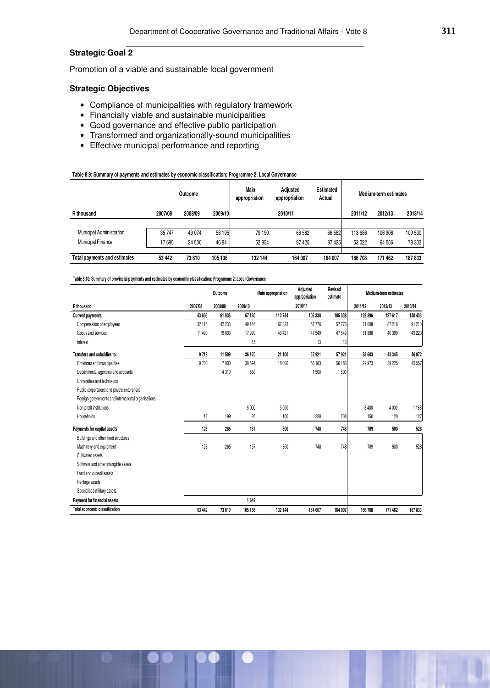## **Strategic Goal 2**

Promotion of a viable and sustainable local government

## **Strategic Objectives**

- Compliance of municipalities with regulatory framework
- Financially viable and sustainable municipalities
- Good governance and effective public participation
- Transformed and organizationally-sound municipalities
- Effective municipal performance and reporting

#### **Table 8.9: Summary of payments and estimates by economic classification: Programme 2: Local Governance**

|                                                             |                | Outcome            |                  | Main<br>appropriation | Adjusted<br>appropriation | <b>Estimated</b><br>Actual | Medium-term estimates |                   |                   |
|-------------------------------------------------------------|----------------|--------------------|------------------|-----------------------|---------------------------|----------------------------|-----------------------|-------------------|-------------------|
| R thousand                                                  | 2007/08        | 2008/09            | 2009/10          |                       | 2010/11                   |                            | 2011/12               | 2012/13           | 2013/14           |
| <b>Municipal Administration</b><br><b>Municipal Finance</b> | 35747<br>17695 | 49 0 74<br>24 5 36 | 58 195<br>46 941 | 79 190<br>52 954      | 66 582<br>97 4 25         | 66 582<br>97 425           | 113 686<br>53 022     | 106 906<br>64 556 | 109 530<br>78 303 |
| Total payments and estimates                                | 53 442         | 73 610             | 105 136          | 132144                | 164 007                   | 164 007                    | 166 708               | 171 462           | 187833            |

#### **Table 8.10: Summary of provincial payments and estimates by economic classification: Programme 2: Local Governance**

|                                                     |         | Outcome |         | Main appropriation | Adjusted<br>appropriation | Revised<br>estimate |         | Medium-term estimates |         |
|-----------------------------------------------------|---------|---------|---------|--------------------|---------------------------|---------------------|---------|-----------------------|---------|
| R thousand                                          | 2007/08 | 2008/09 | 2009/10 |                    | 2010/11                   |                     | 2011/12 | 2012/13               | 2013/14 |
| <b>Current payments</b>                             | 43 606  | 61836   | 67 160  | 110744             | 105 338                   | 105 338             | 132 396 | 127 617               | 140 433 |
| Compensation of employees                           | 32 116  | 42 233  | 49 146  | 67 323             | 57 776                    | 57776               | 71 008  | 87 218                | 91 210  |
| Goods and services                                  | 11 490  | 19603   | 17999   | 43 4 21            | 47 549                    | 47549               | 61 388  | 40 399                | 49 223  |
| Interest                                            |         |         | 15      |                    | 13                        | 13                  |         |                       |         |
| Transfers and subsidies to:                         | 9713    | 11 509  | 36 170  | 21 100             | 57 921                    | 57921               | 33 603  | 43 3 45               | 46 872  |
| Provinces and municipalities                        | 9700    | 7000    | 30 594  | 18 000             | 56 183                    | 56 183              | 29 973  | 39 225                | 45 557  |
| Departmental agencies and accounts                  |         | 4310    | 550     |                    | 1500                      | 1500                |         |                       |         |
| Universities and technikons                         |         |         |         |                    |                           |                     |         |                       |         |
| Public corporations and private enterprises         |         |         |         |                    |                           |                     |         |                       |         |
| Foreign governments and international organisations |         |         |         |                    |                           |                     |         |                       |         |
| Non-profit institutions                             |         |         | 5 000   | 3000               |                           |                     | 3 4 8 0 | 4 0 0 0               | 1 1 8 8 |
| Households                                          | 13      | 199     | 26      | 100                | 238                       | 238                 | 150     | 120                   | 127     |
| Payments for capital assets                         | 123     | 265     | 157     | 300                | 748                       | 748                 | 709     | 500                   | 528     |
| Buildings and other fixed structures                |         |         |         |                    |                           |                     |         |                       |         |
| Machinery and equipment                             | 123     | 265     | 157     | 300                | 748                       | 748                 | 709     | 500                   | 528     |
| Cultivated assets                                   |         |         |         |                    |                           |                     |         |                       |         |
| Software and other intangible assets                |         |         |         |                    |                           |                     |         |                       |         |
| Land and subsoil assets                             |         |         |         |                    |                           |                     |         |                       |         |
| Heritage assets                                     |         |         |         |                    |                           |                     |         |                       |         |
| Specialised military assets                         |         |         |         |                    |                           |                     |         |                       |         |
| Payment for financial assets                        |         |         | 1649    |                    |                           |                     |         |                       |         |
| Total economic classification                       | 53 442  | 73 610  | 105 136 | 132 144            | 164 007                   | 164 007             | 166708  | 171 462               | 187833  |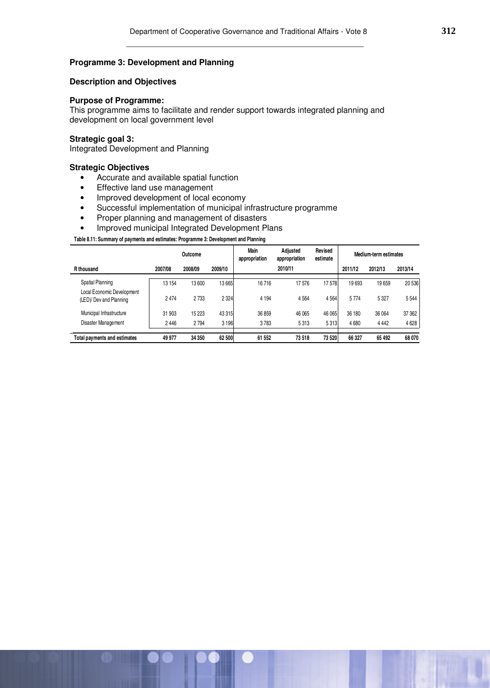## **Programme 3: Development and Planning**

## **Description and Objectives**

### **Purpose of Programme:**

This programme aims to facilitate and render support towards integrated planning and development on local government level

## **Strategic goal 3:**

Integrated Development and Planning

### **Strategic Objectives**

- Accurate and available spatial function
- Effective land use management
- Improved development of local economy
- Successful implementation of municipal infrastructure programme
- Proper planning and management of disasters
- Improved municipal Integrated Development Plans

#### **Table 8.11: Summary of payments and estimates: Programme 3: Development and Planning**

|                                                       |         | Outcome |           | Main<br>appropriation | <b>Adjusted</b><br>appropriation | Revised<br>estimate |         | Medium-term estimates |         |
|-------------------------------------------------------|---------|---------|-----------|-----------------------|----------------------------------|---------------------|---------|-----------------------|---------|
| R thousand                                            | 2007/08 | 2008/09 | 2009/10   |                       | 2010/11                          |                     | 2011/12 | 2012/13               | 2013/14 |
| Spatial Planning                                      | 13 154  | 13 600  | 13 6 65   | 16716                 | 17576                            | 17578               | 19693   | 19659                 | 20 536  |
| Local Economic Development<br>(LED)/ Dev and Planning | 2474    | 2 7 3 3 | 2 3 24    | 4 1 9 4               | 4 5 6 4                          | 4 5 64              | 5774    | 5 3 2 7               | 5 5 4 4 |
| Municipal Infrastructure                              | 31 903  | 15 223  | 43 31 5   | 36859                 | 46 065                           | 46 065              | 36 180  | 36 064                | 37 362  |
| Disaster Management                                   | 2446    | 2 7 9 4 | 3 1 9 6 1 | 3783                  | 5 3 1 3                          | 5313                | 4680    | 4 4 4 2               | 4 6 28  |
| Total payments and estimates                          | 49 977  | 34 350  | 62 500    | 61 552                | 73 518                           | 73 520              | 66 327  | 65 492                | 68 070  |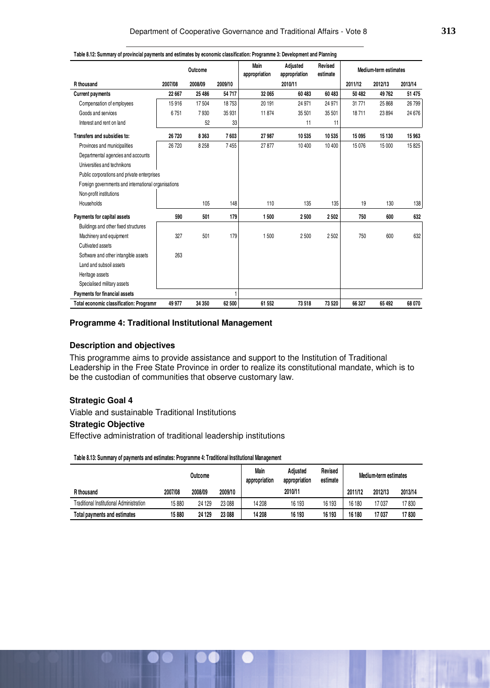|                                                     |         | Outcome |         | Main<br>appropriation | Adjusted<br>appropriation | Revised<br>estimate |         | Medium-term estimates |         |
|-----------------------------------------------------|---------|---------|---------|-----------------------|---------------------------|---------------------|---------|-----------------------|---------|
| R thousand                                          | 2007/08 | 2008/09 | 2009/10 |                       | 2010/11                   |                     | 2011/12 | 2012/13               | 2013/14 |
| <b>Current payments</b>                             | 22 667  | 25 4 86 | 54717   | 32 065                | 60 483                    | 60 483              | 50 482  | 49 762                | 51 475  |
| Compensation of employees                           | 15916   | 17504   | 18753   | 20 191                | 24 971                    | 24 971              | 31 771  | 25 868                | 26799   |
| Goods and services                                  | 6751    | 7930    | 35 931  | 11874                 | 35 501                    | 35 501              | 18711   | 23 894                | 24 676  |
| Interest and rent on land                           |         | 52      | 33      |                       | 11                        | 11                  |         |                       |         |
| Transfers and subsidies to:                         | 26 720  | 8363    | 7603    | 27 987                | 10535                     | 10535               | 15 095  | 15 130                | 15 963  |
| Provinces and municipalities                        | 26 720  | 8 2 5 8 | 7455    | 27 877                | 10 400                    | 10 400              | 15 0 76 | 15 000                | 15825   |
| Departmental agencies and accounts                  |         |         |         |                       |                           |                     |         |                       |         |
| Universities and technikons                         |         |         |         |                       |                           |                     |         |                       |         |
| Public corporations and private enterprises         |         |         |         |                       |                           |                     |         |                       |         |
| Foreign governments and international organisations |         |         |         |                       |                           |                     |         |                       |         |
| Non-profit institutions                             |         |         |         |                       |                           |                     |         |                       |         |
| Households                                          |         | 105     | 148     | 110                   | 135                       | 135                 | 19      | 130                   | 138     |
| Payments for capital assets                         | 590     | 501     | 179     | 1500                  | 2500                      | 2 5 0 2             | 750     | 600                   | 632     |
| Buildings and other fixed structures                |         |         |         |                       |                           |                     |         |                       |         |
| Machinery and equipment                             | 327     | 501     | 179     | 1500                  | 2500                      | 2 5 0 2             | 750     | 600                   | 632     |
| Cultivated assets                                   |         |         |         |                       |                           |                     |         |                       |         |
| Software and other intangible assets                | 263     |         |         |                       |                           |                     |         |                       |         |
| Land and subsoil assets                             |         |         |         |                       |                           |                     |         |                       |         |
| Heritage assets                                     |         |         |         |                       |                           |                     |         |                       |         |
| Specialised military assets                         |         |         |         |                       |                           |                     |         |                       |         |
| Payments for financial assets                       |         |         |         |                       |                           |                     |         |                       |         |
| <b>Total economic classification: Programn</b>      | 49 977  | 34 350  | 62 500  | 61 552                | 73518                     | 73 520              | 66 327  | 65 492                | 68 070  |

## **Table 8.12: Summary of provincial payments and estimates by economic classification: Programme 3: Development and Planning**

## **Programme 4: Traditional Institutional Management**

## **Description and objectives**

This programme aims to provide assistance and support to the Institution of Traditional Leadership in the Free State Province in order to realize its constitutional mandate, which is to be the custodian of communities that observe customary law.

## **Strategic Goal 4**

Viable and sustainable Traditional Institutions **Strategic Objective**  Effective administration of traditional leadership institutions

**Table 8.13: Summary of payments and estimates: Programme 4: Traditional Institutional Management**

|                                          |         | Outcome |         | Main<br>appropriation | Adiusted<br>appropriation | Revised<br>estimate |         | Medium-term estimates |         |
|------------------------------------------|---------|---------|---------|-----------------------|---------------------------|---------------------|---------|-----------------------|---------|
| R thousand                               | 2007/08 | 2008/09 | 2009/10 |                       | 2010/11                   |                     | 2011/12 | 2012/13               | 2013/14 |
| Traditional Institutional Administration | 15880   | 24 129  | 23 088  | 14 208                | 16 193                    | 16 193              | 16 180  | 17037                 | 17 830  |
| Total payments and estimates             | 15880   | 24 1 29 | 23 088  | 14 208                | 16 193                    | 16 193              | 16 180  | 17037                 | 17830   |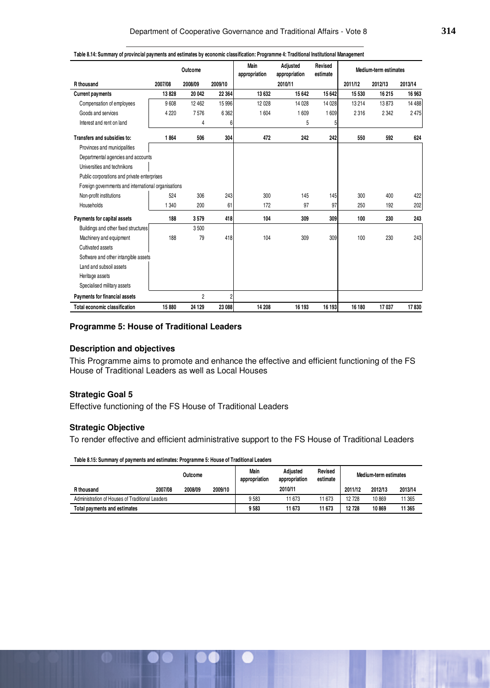|                                                     |         | Outcome        |         | Main<br>appropriation | Adjusted<br>appropriation | <b>Revised</b><br>estimate |         | <b>Medium-term estimates</b> |          |
|-----------------------------------------------------|---------|----------------|---------|-----------------------|---------------------------|----------------------------|---------|------------------------------|----------|
| R thousand                                          | 2007/08 | 2008/09        | 2009/10 |                       | 2010/11                   |                            | 2011/12 | 2012/13                      | 2013/14  |
| <b>Current payments</b>                             | 13828   | 20 042         | 22 364  | 13 632                | 15 642                    | 15 642                     | 15 530  | 16 215                       | 16 963   |
| Compensation of employees                           | 9608    | 12 4 62        | 15 996  | 12 0 28               | 14 0 28                   | 14 0 28                    | 13 2 14 | 13873                        | 14 4 8 8 |
| Goods and services                                  | 4 2 2 0 | 7576           | 6 3 6 2 | 1 604                 | 1609                      | 1609                       | 2316    | 2 3 4 2                      | 2 4 7 5  |
| Interest and rent on land                           |         | 4              | 6       |                       | 5                         | 5                          |         |                              |          |
| Transfers and subsidies to:                         | 1864    | 506            | 304     | 472                   | 242                       | 242                        | 550     | 592                          | 624      |
| Provinces and municipalities                        |         |                |         |                       |                           |                            |         |                              |          |
| Departmental agencies and accounts                  |         |                |         |                       |                           |                            |         |                              |          |
| Universities and technikons                         |         |                |         |                       |                           |                            |         |                              |          |
| Public corporations and private enterprises         |         |                |         |                       |                           |                            |         |                              |          |
| Foreign governments and international organisations |         |                |         |                       |                           |                            |         |                              |          |
| Non-profit institutions                             | 524     | 306            | 243     | 300                   | 145                       | 145                        | 300     | 400                          | 422      |
| Households                                          | 1 3 4 0 | 200            | 61      | 172                   | 97                        | 97                         | 250     | 192                          | 202      |
| Payments for capital assets                         | 188     | 3579           | 418     | 104                   | 309                       | 309                        | 100     | 230                          | 243      |
| Buildings and other fixed structures                |         | 3500           |         |                       |                           |                            |         |                              |          |
| Machinery and equipment                             | 188     | 79             | 418     | 104                   | 309                       | 309                        | 100     | 230                          | 243      |
| Cultivated assets                                   |         |                |         |                       |                           |                            |         |                              |          |
| Software and other intangible assets                |         |                |         |                       |                           |                            |         |                              |          |
| Land and subsoil assets                             |         |                |         |                       |                           |                            |         |                              |          |
| Heritage assets                                     |         |                |         |                       |                           |                            |         |                              |          |
| Specialised military assets                         |         |                |         |                       |                           |                            |         |                              |          |
| Payments for financial assets                       |         | $\overline{2}$ | 2       |                       |                           |                            |         |                              |          |
| Total economic classification                       | 15 880  | 24 1 29        | 23 088  | 14 208                | 16 193                    | 16 193                     | 16 180  | 17 037                       | 17830    |

#### **Table 8.14: Summary of provincial payments and estimates by economic classification: Programme 4: Traditional Institutional Management**

## **Programme 5: House of Traditional Leaders**

## **Description and objectives**

This Programme aims to promote and enhance the effective and efficient functioning of the FS House of Traditional Leaders as well as Local Houses

## **Strategic Goal 5**

Effective functioning of the FS House of Traditional Leaders

## **Strategic Objective**

To render effective and efficient administrative support to the FS House of Traditional Leaders

**Table 8.15: Summary of payments and estimates: Programme 5: House of Traditional Leaders**

|                                                 |         | Outcome |         | Main<br>appropriation | Adiusted<br>appropriation | Revised<br>estimate |         | Medium-term estimates |         |
|-------------------------------------------------|---------|---------|---------|-----------------------|---------------------------|---------------------|---------|-----------------------|---------|
| R thousand                                      | 2007/08 | 2008/09 | 2009/10 |                       | 2010/11                   |                     | 2011/12 | 2012/13               | 2013/14 |
| Administration of Houses of Traditional Leaders |         |         |         | 9583                  | 11 673                    | 11 673              | 12728   | 10869                 | 11 365  |
| Total payments and estimates                    |         |         |         | 9583                  | 11 673                    | 11 673              | 12728   | 10869                 | 11 365  |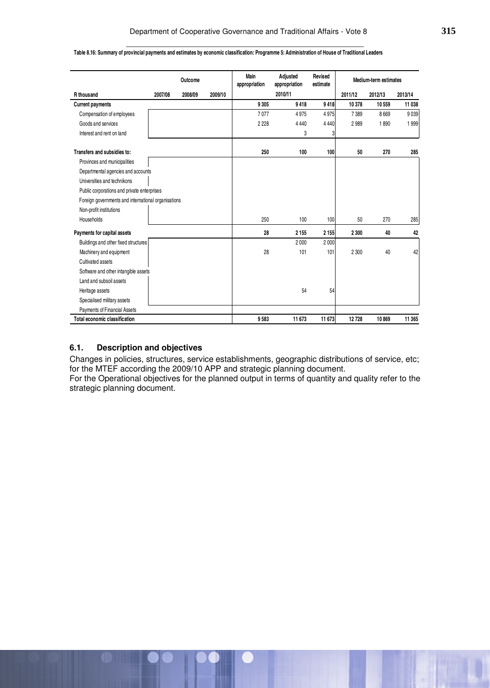|                                                     | Outcome |         | Main<br>appropriation | Adjusted<br>appropriation | Revised<br>estimate |         | Medium-term estimates |         |         |
|-----------------------------------------------------|---------|---------|-----------------------|---------------------------|---------------------|---------|-----------------------|---------|---------|
| R thousand                                          | 2007/08 | 2008/09 | 2009/10               |                           | 2010/11             |         | 2011/12               | 2012/13 | 2013/14 |
| <b>Current payments</b>                             |         |         |                       | 9 3 0 5                   | 9418                | 9418    | 10 378                | 10559   | 11 038  |
| Compensation of employees                           |         |         |                       | 7077                      | 4975                | 4975    | 7 3 8 9               | 8669    | 9039    |
| Goods and services                                  |         |         |                       | 2 2 2 8                   | 4 4 4 0             | 4 4 4 0 | 2989                  | 1890    | 1999    |
| Interest and rent on land                           |         |         |                       |                           | 3                   | 3       |                       |         |         |
| Transfers and subsidies to:                         |         |         |                       | 250                       | 100                 | 100     | 50                    | 270     | 285     |
| Provinces and municipalities                        |         |         |                       |                           |                     |         |                       |         |         |
| Departmental agencies and accounts                  |         |         |                       |                           |                     |         |                       |         |         |
| Universities and technikons                         |         |         |                       |                           |                     |         |                       |         |         |
| Public corporations and private enterprises         |         |         |                       |                           |                     |         |                       |         |         |
| Foreign governments and international organisations |         |         |                       |                           |                     |         |                       |         |         |
| Non-profit institutions                             |         |         |                       |                           |                     |         |                       |         |         |
| Households                                          |         |         |                       | 250                       | 100                 | 100     | 50                    | 270     | 285     |
| Payments for capital assets                         |         |         |                       | 28                        | 2155                | 2 1 5 5 | 2 3 0 0               | 40      | 42      |
| Buildings and other fixed structures                |         |         |                       |                           | 2 0 0 0             | 2 0 0 0 |                       |         |         |
| Machinery and equipment                             |         |         |                       | 28                        | 101                 | 101     | 2 3 0 0               | 40      | 42      |
| Cultivated assets                                   |         |         |                       |                           |                     |         |                       |         |         |
| Software and other intangible assets                |         |         |                       |                           |                     |         |                       |         |         |
| Land and subsoil assets                             |         |         |                       |                           |                     |         |                       |         |         |
| Heritage assets                                     |         |         |                       |                           | 54                  | 54      |                       |         |         |
| Specialised military assets                         |         |         |                       |                           |                     |         |                       |         |         |
| Payments of Financial Assets                        |         |         |                       |                           |                     |         |                       |         |         |
| <b>Total economic classification</b>                |         |         |                       | 9583                      | 11 673              | 11 673  | 12728                 | 10869   | 11 365  |

#### **Table 8.16: Summary of provincial payments and estimates by economic classification: Programme 5: Administration of House of Traditional Leaders**

## **6.1. Description and objectives**

Changes in policies, structures, service establishments, geographic distributions of service, etc; for the MTEF according the 2009/10 APP and strategic planning document.

For the Operational objectives for the planned output in terms of quantity and quality refer to the strategic planning document.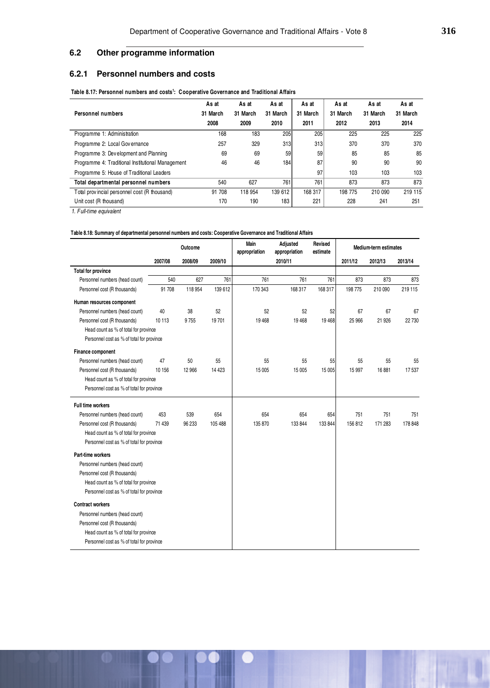## **6.2 Other programme information**

## **6.2.1 Personnel numbers and costs**

|                                                   | As at    | Asat     | Asat     | Asat     | Asat     | As at    | Asat     |
|---------------------------------------------------|----------|----------|----------|----------|----------|----------|----------|
| <b>Personnel numbers</b>                          | 31 March | 31 March | 31 March | 31 March | 31 March | 31 March | 31 March |
|                                                   | 2008     | 2009     | 2010     | 2011     | 2012     | 2013     | 2014     |
| Programme 1: Administration                       | 168      | 183      | 205      | 205      | 225      | 225      | 225      |
| Programme 2: Local Governance                     | 257      | 329      | 313      | 313      | 370      | 370      | 370      |
| Programme 3: Development and Planning             | 69       | 69       | 59       | 59       | 85       | 85       | 85       |
| Programme 4: Traditional Institutional Management | 46       | 46       | 184      | 87       | 90       | 90       | 90       |
| Programme 5: House of Traditional Leaders         |          |          |          | 97       | 103      | 103      | 103      |
| Total departmental personnel numbers              | 540      | 627      | 761      | 761      | 873      | 873      | 873      |
| Total provincial personnel cost (R thousand)      | 91 708   | 118 954  | 139 612  | 168 317  | 198 775  | 210 090  | 219 115  |
| Unit cost (R thousand)                            | 170      | 190      | 183      | 221      | 228      | 241      | 251      |

1. Full-time equivalent

| Table 8.18: Summary of departmental personnel numbers and costs: Cooperative Governance and Traditional Affairs |  |  |  |  |  |  |  |
|-----------------------------------------------------------------------------------------------------------------|--|--|--|--|--|--|--|
|-----------------------------------------------------------------------------------------------------------------|--|--|--|--|--|--|--|

|                                           |         | Outcome |         | Main<br>appropriation | Adjusted<br>appropriation | Revised<br>estimate | Medium-term estimates |         |         |
|-------------------------------------------|---------|---------|---------|-----------------------|---------------------------|---------------------|-----------------------|---------|---------|
|                                           | 2007/08 | 2008/09 | 2009/10 |                       | 2010/11                   |                     | 2011/12               | 2012/13 | 2013/14 |
| <b>Total for province</b>                 |         |         |         |                       |                           |                     |                       |         |         |
| Personnel numbers (head count)            | 540     | 627     | 761     | 761                   | 761                       | 761                 | 873                   | 873     | 873     |
| Personnel cost (R thousands)              | 91 708  | 118 954 | 139 612 | 170 343               | 168 317                   | 168 317             | 198775                | 210 090 | 219 115 |
| Human resources component                 |         |         |         |                       |                           |                     |                       |         |         |
| Personnel numbers (head count)            | 40      | 38      | 52      | 52                    | 52                        | 52                  | 67                    | 67      | 67      |
| Personnel cost (R thousands)              | 10 113  | 9755    | 19701   | 19468                 | 19 4 68                   | 19468               | 25 966                | 21 9 26 | 22730   |
| Head count as % of total for province     |         |         |         |                       |                           |                     |                       |         |         |
| Personnel cost as % of total for province |         |         |         |                       |                           |                     |                       |         |         |
| Finance component                         |         |         |         |                       |                           |                     |                       |         |         |
| Personnel numbers (head count)            | 47      | 50      | 55      | 55                    | 55                        | 55                  | 55                    | 55      | 55      |
| Personnel cost (R thousands)              | 10 156  | 12 966  | 14 4 23 | 15 005                | 15 005                    | 15 005              | 15 997                | 16881   | 17537   |
| Head count as % of total for province     |         |         |         |                       |                           |                     |                       |         |         |
| Personnel cost as % of total for province |         |         |         |                       |                           |                     |                       |         |         |
| <b>Full time workers</b>                  |         |         |         |                       |                           |                     |                       |         |         |
| Personnel numbers (head count)            | 453     | 539     | 654     | 654                   | 654                       | 654                 | 751                   | 751     | 751     |
| Personnel cost (R thousands)              | 71 439  | 96 233  | 105 488 | 135 870               | 133 844                   | 133 844             | 156 812               | 171 283 | 178 848 |
| Head count as % of total for province     |         |         |         |                       |                           |                     |                       |         |         |
| Personnel cost as % of total for province |         |         |         |                       |                           |                     |                       |         |         |
| Part-time workers                         |         |         |         |                       |                           |                     |                       |         |         |
| Personnel numbers (head count)            |         |         |         |                       |                           |                     |                       |         |         |
| Personnel cost (R thousands)              |         |         |         |                       |                           |                     |                       |         |         |
| Head count as % of total for province     |         |         |         |                       |                           |                     |                       |         |         |
| Personnel cost as % of total for province |         |         |         |                       |                           |                     |                       |         |         |
| <b>Contract workers</b>                   |         |         |         |                       |                           |                     |                       |         |         |
| Personnel numbers (head count)            |         |         |         |                       |                           |                     |                       |         |         |
| Personnel cost (R thousands)              |         |         |         |                       |                           |                     |                       |         |         |
| Head count as % of total for province     |         |         |         |                       |                           |                     |                       |         |         |
| Personnel cost as % of total for province |         |         |         |                       |                           |                     |                       |         |         |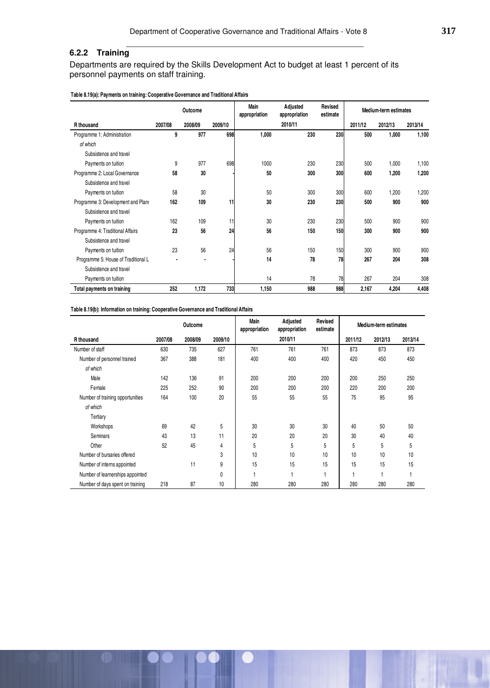## **6.2.2 Training**

Departments are required by the Skills Development Act to budget at least 1 percent of its personnel payments on staff training.

| Table 8.19(a): Payments on training: Cooperative Governance and Traditional Affairs |  |  |
|-------------------------------------------------------------------------------------|--|--|
|                                                                                     |  |  |

|                                     | Outcome |         |         | Main<br>appropriation | Adjusted<br>Revised<br>estimate<br>appropriation |     | Medium-term estimates |         |         |
|-------------------------------------|---------|---------|---------|-----------------------|--------------------------------------------------|-----|-----------------------|---------|---------|
| R thousand                          | 2007/08 | 2008/09 | 2009/10 |                       | 2010/11                                          |     | 2011/12               | 2012/13 | 2013/14 |
| Programme 1: Administration         | 9       | 977     | 698     | 1,000                 | 230                                              | 230 | 500                   | 1,000   | 1,100   |
| of which                            |         |         |         |                       |                                                  |     |                       |         |         |
| Subsistence and travel              |         |         |         |                       |                                                  |     |                       |         |         |
| Payments on tuition                 | 9       | 977     | 698     | 1000                  | 230                                              | 230 | 500                   | 1,000   | 1,100   |
| Programme 2: Local Governance       | 58      | 30      |         | 50                    | 300                                              | 300 | 600                   | 1,200   | 1,200   |
| Subsistence and travel              |         |         |         |                       |                                                  |     |                       |         |         |
| Payments on tuition                 | 58      | 30      |         | 50                    | 300                                              | 300 | 600                   | 1,200   | 1,200   |
| Programme 3: Development and Planr  | 162     | 109     | 11      | 30                    | 230                                              | 230 | 500                   | 900     | 900     |
| Subsistence and travel              |         |         |         |                       |                                                  |     |                       |         |         |
| Payments on tuition                 | 162     | 109     | 11      | 30                    | 230                                              | 230 | 500                   | 900     | 900     |
| Programme 4: Traditional Affairs    | 23      | 56      | 24      | 56                    | 150                                              | 150 | 300                   | 900     | 900     |
| Subsistence and travel              |         |         |         |                       |                                                  |     |                       |         |         |
| Payments on tuition                 | 23      | 56      | 24      | 56                    | 150                                              | 150 | 300                   | 900     | 900     |
| Programme 5: House of Traditional L |         |         |         | 14                    | 78                                               | 78  | 267                   | 204     | 308     |
| Subsistence and travel              |         |         |         |                       |                                                  |     |                       |         |         |
| Payments on tuition                 |         |         |         | 14                    | 78                                               | 78  | 267                   | 204     | 308     |
| Total payments on training          | 252     | 1,172   | 733     | 1,150                 | 988                                              | 988 | 2,167                 | 4,204   | 4,408   |

#### **Table 8.19(b): Information on training: Cooperative Governance and Traditional Affairs**

|                                  | Outcome |         |         | Main<br>appropriation | Adjusted<br>appropriation | Revised<br>estimate | Medium-term estimates |         |         |  |
|----------------------------------|---------|---------|---------|-----------------------|---------------------------|---------------------|-----------------------|---------|---------|--|
| R thousand                       | 2007/08 | 2008/09 | 2009/10 |                       | 2010/11                   |                     | 2011/12               | 2012/13 | 2013/14 |  |
| Number of staff                  | 630     | 735     | 627     | 761                   | 761                       | 761                 | 873                   | 873     | 873     |  |
| Number of personnel trained      | 367     | 388     | 181     | 400                   | 400                       | 400                 | 420                   | 450     | 450     |  |
| of which                         |         |         |         |                       |                           |                     |                       |         |         |  |
| Male                             | 142     | 136     | 91      | 200                   | 200                       | 200                 | 200                   | 250     | 250     |  |
| Female                           | 225     | 252     | 90      | 200                   | 200                       | 200                 | 220                   | 200     | 200     |  |
| Number of training opportunities | 164     | 100     | 20      | 55                    | 55                        | 55                  | 75                    | 95      | 95      |  |
| of which                         |         |         |         |                       |                           |                     |                       |         |         |  |
| Tertiary                         |         |         |         |                       |                           |                     |                       |         |         |  |
| Workshops                        | 69      | 42      | 5       | 30                    | 30                        | 30                  | 40                    | 50      | 50      |  |
| <b>Seminars</b>                  | 43      | 13      | 11      | 20                    | 20                        | 20                  | 30                    | 40      | 40      |  |
| Other                            | 52      | 45      | 4       | 5                     | 5                         | 5                   | 5                     | 5       | 5       |  |
| Number of bursaries offered      |         |         | 3       | 10                    | 10                        | 10                  | 10                    | 10      | 10      |  |
| Number of interns appointed      |         | 11      | 9       | 15                    | 15                        | 15                  | 15                    | 15      | 15      |  |
| Number of learnerships appointed |         |         | 0       |                       |                           |                     |                       |         |         |  |
| Number of days spent on training | 218     | 87      | 10      | 280                   | 280                       | 280                 | 280                   | 280     | 280     |  |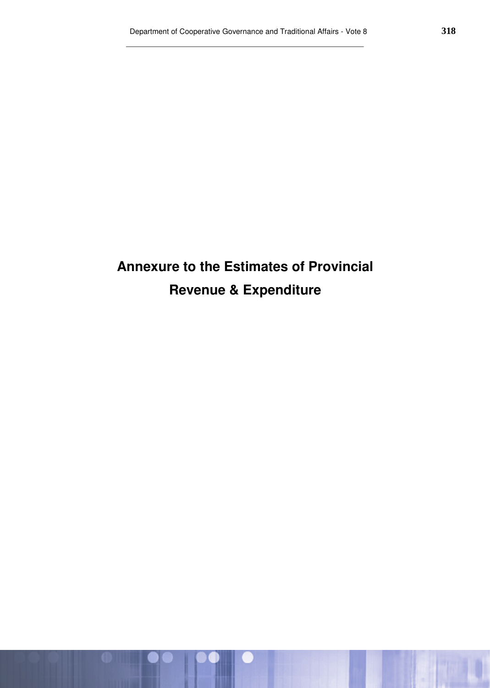## **Annexure to the Estimates of Provincial Revenue & Expenditure**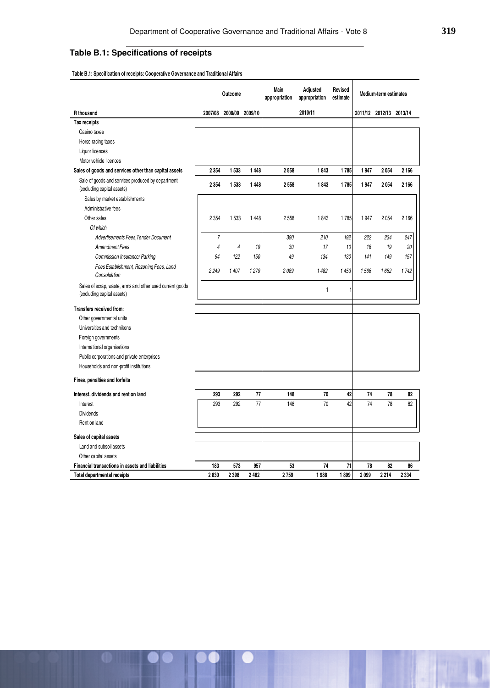## **Table B.1: Specifications of receipts**

 **Table B.1: Specification of receipts: Cooperative Governance and Traditional Affairs**

|                                                                                        |         | Outcome        |         | Main<br>appropriation | Adjusted<br>appropriation | <b>Revised</b><br>estimate |      | Medium-term estimates   |         |
|----------------------------------------------------------------------------------------|---------|----------------|---------|-----------------------|---------------------------|----------------------------|------|-------------------------|---------|
| R thousand                                                                             | 2007/08 | 2008/09        | 2009/10 |                       | 2010/11                   |                            |      | 2011/12 2012/13 2013/14 |         |
| Tax receipts                                                                           |         |                |         |                       |                           |                            |      |                         |         |
| Casino taxes                                                                           |         |                |         |                       |                           |                            |      |                         |         |
| Horse racing taxes                                                                     |         |                |         |                       |                           |                            |      |                         |         |
| Liquor licences                                                                        |         |                |         |                       |                           |                            |      |                         |         |
| Motor vehicle licences                                                                 |         |                |         |                       |                           |                            |      |                         |         |
| Sales of goods and services other than capital assets                                  | 2 3 5 4 | 1533           | 1448    | 2558                  | 1843                      | 1785                       | 1947 | 2054                    | 2 1 6 6 |
| Sale of goods and services produced by department<br>(excluding capital assets)        | 2 3 5 4 | 1533           | 1448    | 2 5 5 8               | 1843                      | 1785                       | 1947 | 2054                    | 2 1 6 6 |
| Sales by market establishments                                                         |         |                |         |                       |                           |                            |      |                         |         |
| Administrative fees                                                                    |         |                |         |                       |                           |                            |      |                         |         |
| Other sales                                                                            | 2 3 5 4 | 1533           | 1448    | 2558                  | 1843                      | 1785                       | 1947 | 2054                    | 2166    |
| Of which                                                                               |         |                |         |                       |                           |                            |      |                         |         |
| Advertisements Fees, Tender Document                                                   | 7       |                |         | 390                   | 210                       | 192                        | 222  | 234                     | 247     |
| Amendment Fees                                                                         | 4       | $\overline{4}$ | 19      | 30                    | 17                        | 10                         | 18   | 19                      | 20      |
| Commission Insurance/ Parking                                                          | 94      | 122            | 150     | 49                    | 134                       | 130                        | 141  | 149                     | 157     |
| Fees Establishment, Rezoning Fees, Land<br>Consoldation                                | 2 2 4 9 | 1407           | 1279    | 2089                  | 1482                      | 1453                       | 1566 | 1652                    | 1742    |
| Sales of scrap, waste, arms and other used current goods<br>(excluding capital assets) |         |                |         |                       | $\mathbf{1}$              | 1                          |      |                         |         |
| Transfers received from:                                                               |         |                |         |                       |                           |                            |      |                         |         |
| Other governmental units                                                               |         |                |         |                       |                           |                            |      |                         |         |
| Universities and technikons                                                            |         |                |         |                       |                           |                            |      |                         |         |
| Foreign governments                                                                    |         |                |         |                       |                           |                            |      |                         |         |
| International organisations                                                            |         |                |         |                       |                           |                            |      |                         |         |
| Public corporations and private enterprises                                            |         |                |         |                       |                           |                            |      |                         |         |
| Households and non-profit institutions                                                 |         |                |         |                       |                           |                            |      |                         |         |
| Fines, penalties and forfeits                                                          |         |                |         |                       |                           |                            |      |                         |         |
| Interest, dividends and rent on land                                                   | 293     | 292            | 77      | 148                   | 70                        | 42                         | 74   | 78                      | 82      |
| Interest                                                                               | 293     | 292            | 77      | 148                   | 70                        | 42                         | 74   | 78                      | 82      |
| <b>Dividends</b>                                                                       |         |                |         |                       |                           |                            |      |                         |         |
| Rent on land                                                                           |         |                |         |                       |                           |                            |      |                         |         |
| Sales of capital assets                                                                |         |                |         |                       |                           |                            |      |                         |         |
| Land and subsoil assets                                                                |         |                |         |                       |                           |                            |      |                         |         |
| Other capital assets                                                                   |         |                |         |                       |                           |                            |      |                         |         |
| Financial transactions in assets and liabilities                                       | 183     | 573            | 957     | 53                    | 74                        | 71                         | 78   | 82                      | 86      |
| <b>Total departmental receipts</b>                                                     | 2830    | 2 3 9 8        | 2482    | 2759                  | 1988                      | 1899                       | 2099 | 2214                    | 2 3 3 4 |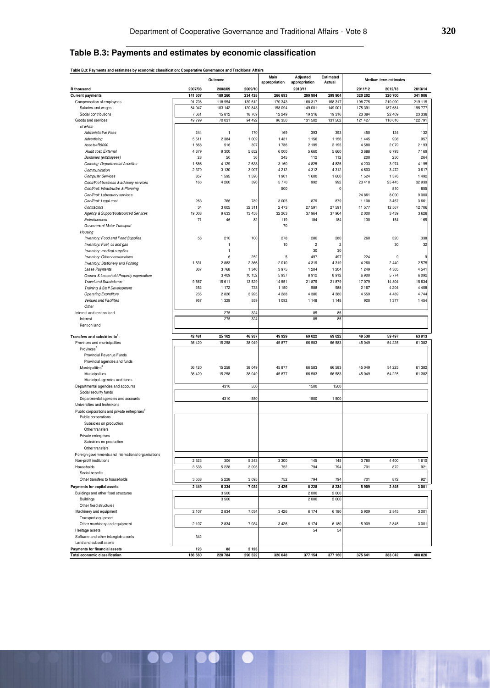## **Table B.3: Payments and estimates by economic classification**

|                                                                                                                                                               |         | Outcome      |            | Main<br>appropriation | Adjusted<br>appropriation | Estimated<br>Actual |         | Medium-term estimates |         |
|---------------------------------------------------------------------------------------------------------------------------------------------------------------|---------|--------------|------------|-----------------------|---------------------------|---------------------|---------|-----------------------|---------|
| R thousand                                                                                                                                                    | 2007/08 | 2008/09      | 2009/10    |                       | 2010/11                   |                     | 2011/12 | 2012/13               | 2013/14 |
| <b>Current payments</b>                                                                                                                                       | 141 507 | 189 260      | 234 428    | 266 693               | 299 904                   | 299 904             | 320 202 | 320 700               | 341 906 |
| Compensation of employees                                                                                                                                     | 91 708  | 118 954      | 139 612    | 170 343               | 168 317                   | 168 317             | 198 775 | 210 090               | 219115  |
| Salaries and wages                                                                                                                                            | 84 047  | 103 142      | 120 843    | 158 094               | 149 001                   | 149 001             | 175 391 | 187 681               | 195777  |
| Social contributions                                                                                                                                          | 7661    | 15812        | 18 769     | 12 24 9               | 19 316                    | 19 316              | 23 384  | 22 409                | 23 338  |
| Goods and services                                                                                                                                            | 49 799  | 70 031       | 94 492     | 96 350                | 131 502                   | 131 502             | 121 427 | 110 610               | 122 791 |
| of which                                                                                                                                                      |         |              |            |                       |                           |                     |         |                       |         |
| Administrative Fees                                                                                                                                           | 244     | $\mathbf{1}$ | 170        | 169                   | 393                       | 393                 | 450     | 124                   | 132     |
| Advertising                                                                                                                                                   | 5511    | 2 3 8 4      | 1 0 0 9    | 1431                  | 1 1 5 6                   | 1 1 5 6             | 1 4 4 5 | 908                   | 957     |
| Assets <r5000< td=""><td>1868</td><td>516</td><td>397</td><td>1736</td><td>2 1 9 5</td><td>2 1 9 5</td><td>4580</td><td>2 0 7 9</td><td>2 1 9 3</td></r5000<> | 1868    | 516          | 397        | 1736                  | 2 1 9 5                   | 2 1 9 5             | 4580    | 2 0 7 9               | 2 1 9 3 |
| Audit cost: External                                                                                                                                          | 4 6 7 9 | 9 3 0 0      | 5 6 5 2    | 6000                  | 5 6 6 0                   | 5 6 6 0             | 3688    | 6793                  | 7169    |
| <b>Bursaries</b> (employees)                                                                                                                                  | 28      | 50           | 36         | 245                   | 112                       | 112                 | 200     | 250                   | 264     |
| Catering: Departmental Activities                                                                                                                             | 1686    | 4 1 2 9      | 2 6 3 3    | 3160                  | 4 8 25                    | 4 8 25              | 4 2 3 3 | 3974                  | 4 1 9 5 |
| Communication                                                                                                                                                 | 2 3 7 9 | 3 1 3 0      | 3 0 0 7    | 4212                  | 4 3 1 2                   | 4 3 1 2             | 4603    | 3 4 7 2               | 3617    |
| <b>Computer Services</b>                                                                                                                                      | 857     | 1595         | 1 5 9 0    | 1901                  | 1 600                     | 1 600               | 1524    | 1 376                 | 1492    |
| Cons/Prof:business & advisory services                                                                                                                        | 166     | 4 2 6 0      | 396        | 5770                  | 992                       | 992                 | 23 4 10 | 25 4 45               | 32 930  |
| Con/Prof: Infrastructre & Planning                                                                                                                            |         |              |            | 500                   |                           | 0                   |         | 810                   | 855     |
| Con/Prof: Laboratory services                                                                                                                                 |         |              |            |                       |                           |                     | 24 861  | 8 0 0 0               | 9000    |
| Con/Prof: Legal cost                                                                                                                                          | 263     | 766          | <b>789</b> | 3005                  | 879                       | 879                 | 1 1 0 8 | 3 4 6 7               | 3661    |
| Contractors                                                                                                                                                   | 34      | 3 0 0 5      | 32 311     | 2473                  | 27 591                    | 27 591              | 11 577  | 12 567                | 12706   |
|                                                                                                                                                               |         |              |            |                       |                           |                     | 2 0 0 0 | 3 4 3 9               |         |
| Agency & Support/outsourced Services                                                                                                                          | 19 008  | 9633         | 13 4 58    | 32 263                | 37 964                    | 37 964              |         |                       | 3628    |
| Entertainment                                                                                                                                                 | 71      | 46           | 82         | 119                   | 184                       | 184                 | 130     | 154                   | 165     |
| Government Motor Transport                                                                                                                                    |         |              |            | 70                    |                           |                     |         |                       |         |
| Housing                                                                                                                                                       |         |              |            |                       |                           |                     |         |                       |         |
| Inventory: Food and Food Supplies                                                                                                                             | 56      | 210          | 100        | 278                   | 280                       | 280                 | 260     | 320                   | 338     |
| Inventory: Fuel, oil and gas                                                                                                                                  |         | $\mathbf{1}$ |            | 10                    | $\overline{\mathbf{c}}$   | $\overline{2}$      |         | 30                    | 32      |
| Inventory: medical supplies                                                                                                                                   |         | 1            |            |                       | 30                        | 30                  |         |                       |         |
| Inventory: Other consumables                                                                                                                                  |         | 6            | 252        | 5                     | 497                       | 497                 | 224     | 9                     | 9       |
| Inventory: Stationery and Printing                                                                                                                            | 1 631   | 2883         | 2 3 6 6    | 2010                  | 4 3 1 9                   | 4 3 1 9             | 4 2 6 0 | 2 4 4 0               | 2575    |
| Lease Payments                                                                                                                                                | 307     | 3768         | 1 3 4 6    | 3975                  | 1 204                     | 1 204               | 1 2 4 9 | 4 3 0 5               | 4541    |
| Owned & Leasehold Property expenditure                                                                                                                        |         | 3 4 0 9      | 10 152     | 5937                  | 8912                      | 8912                | 6900    | 5 7 7 4               | 6092    |
| <b>Travel and Subsistence</b>                                                                                                                                 | 9567    | 15 611       | 13 5 29    | 14551                 | 21 879                    | 21 879              | 17079   | 14 804                | 15 634  |
| Training & Staff Development                                                                                                                                  | 252     | 1 172        | 733        | 1150                  | 988                       | 988                 | 2 1 6 7 | 4 2 0 4               | 4 4 0 8 |
| <b>Operating Expnditure</b>                                                                                                                                   | 235     | 2826         | 3 9 25     | 4288                  | 4 3 8 0                   | 4 3 8 0             | 4559    | 4 4 8 9               | 4744    |
| Venues and Facilities                                                                                                                                         | 957     | 1 3 2 9      | 559        | 1092                  | 1 1 4 8                   | 1 1 4 8             | 920     | 1 377                 | 1454    |
| Other                                                                                                                                                         |         |              |            |                       |                           |                     |         |                       |         |
| Interest and rent on land                                                                                                                                     |         | 275          | 324        |                       | 85                        | 85                  |         |                       |         |
| Interest                                                                                                                                                      |         | 275          | 324        |                       | 85                        | 85                  |         |                       |         |
| Rent on land                                                                                                                                                  |         |              |            |                       |                           |                     |         |                       |         |
|                                                                                                                                                               |         |              |            |                       |                           |                     |         |                       |         |
| Transfers and subsidies to:                                                                                                                                   | 42 481  | 25 102       | 46 937     | 49929                 | 69 022                    | 69 022              | 49 530  | 59 497                | 63913   |
| Provinces and municipalities                                                                                                                                  | 36 420  | 15 258       | 38 049     | 45 877                | 66 583                    | 66 583              | 45 049  | 54 225                | 61 382  |
| Provinces <sup>2</sup>                                                                                                                                        |         |              |            |                       |                           |                     |         |                       |         |
| Provincial Revenue Funds                                                                                                                                      |         |              |            |                       |                           |                     |         |                       |         |
| Provincial agencies and funds                                                                                                                                 |         |              |            |                       |                           |                     |         |                       |         |
| Municipalities <sup>3</sup>                                                                                                                                   | 36 420  | 15 25 8      | 38 049     | 45 877                | 66 583                    | 66 583              | 45 049  | 54 225                | 61 382  |
| Municipalities                                                                                                                                                | 36 420  | 15 25 8      | 38 049     | 45 877                | 66 583                    | 66 583              | 45 049  | 54 225                | 61 382  |
|                                                                                                                                                               |         |              |            |                       |                           |                     |         |                       |         |
| Municipal agencies and funds                                                                                                                                  |         |              |            |                       |                           |                     |         |                       |         |
| Departmental agencies and accounts                                                                                                                            |         | 4310         | 550        |                       | 1500                      | 1500                |         |                       |         |
| Social security funds                                                                                                                                         |         |              |            |                       |                           |                     |         |                       |         |
| Departmental agencies and accounts                                                                                                                            |         | 4310         | 550        |                       | 1500                      | 1 500               |         |                       |         |
| Universities and technikons                                                                                                                                   |         |              |            |                       |                           |                     |         |                       |         |
| Public corporations and private enterprises <sup>5</sup>                                                                                                      |         |              |            |                       |                           |                     |         |                       |         |
| Public corporations                                                                                                                                           |         |              |            |                       |                           |                     |         |                       |         |
| Subsidies on production                                                                                                                                       |         |              |            |                       |                           |                     |         |                       |         |
| Other transfers                                                                                                                                               |         |              |            |                       |                           |                     |         |                       |         |
| Private enterprises                                                                                                                                           |         |              |            |                       |                           |                     |         |                       |         |
| Subsidies on production                                                                                                                                       |         |              |            |                       |                           |                     |         |                       |         |
| Other transfers                                                                                                                                               |         |              |            |                       |                           |                     |         |                       |         |
| Foreign governments and international organisations                                                                                                           |         |              |            |                       |                           |                     |         |                       |         |
| Non-profit institutions                                                                                                                                       | 2 5 2 3 | 306          | 5 2 4 3    | 3300                  | 145                       | 145                 | 3780    | 4 4 0 0               | 1610    |
| Households                                                                                                                                                    | 3538    | 5 2 2 8      | 3 0 9 5    | 752                   | 794                       | 794                 | 701     | 872                   | 921     |
| Social benefits                                                                                                                                               |         |              |            |                       |                           |                     |         |                       |         |
| Other transfers to households                                                                                                                                 | 3538    | 5 2 2 8      | 3 0 9 5    | 752                   | 794                       | 794                 | 701     | 872                   | 921     |
|                                                                                                                                                               |         |              |            |                       |                           |                     |         |                       |         |
| Payments for capital assets                                                                                                                                   | 2 4 4 9 | 6 3 3 4      | 7 0 34     | 3426                  | 8 2 2 8                   | 8 2 3 4             | 5909    | 2845                  | 3001    |
| Buildings and other fixed structures                                                                                                                          |         | 3500         |            |                       | 2 000                     | 2 000               |         |                       |         |
| <b>Buildings</b>                                                                                                                                              |         | 3500         |            |                       | 2 000                     | 2 000               |         |                       |         |
| Other fixed structures                                                                                                                                        |         |              |            |                       |                           |                     |         |                       |         |
| Machinery and equipment                                                                                                                                       | 2 107   | 2 8 3 4      | 7 0 3 4    | 3426                  | 6 174                     | 6 180               | 5909    | 2 8 4 5               | 3001    |
| Transport equipment                                                                                                                                           |         |              |            |                       |                           |                     |         |                       |         |
| Other machinery and equipment                                                                                                                                 | 2 107   | 2 8 3 4      | 7 0 3 4    | 3426                  | 6 1 7 4                   | 6 180               | 5909    | 2845                  | 3001    |
| Heritage assets                                                                                                                                               |         |              |            |                       | 54                        | 54                  |         |                       |         |
| Software and other intangible assets                                                                                                                          | 342     |              |            |                       |                           |                     |         |                       |         |
| Land and subsoil assets                                                                                                                                       |         |              |            |                       |                           |                     |         |                       |         |
| <b>Payments for financial assets</b>                                                                                                                          | 123     | 88           | 2 1 2 3    |                       |                           |                     |         |                       |         |
| Total economic classification                                                                                                                                 | 186 560 | 220 784      | 290 522    | 320 048               | 377 154                   | 377 160             | 375 641 | 383 042               | 408 820 |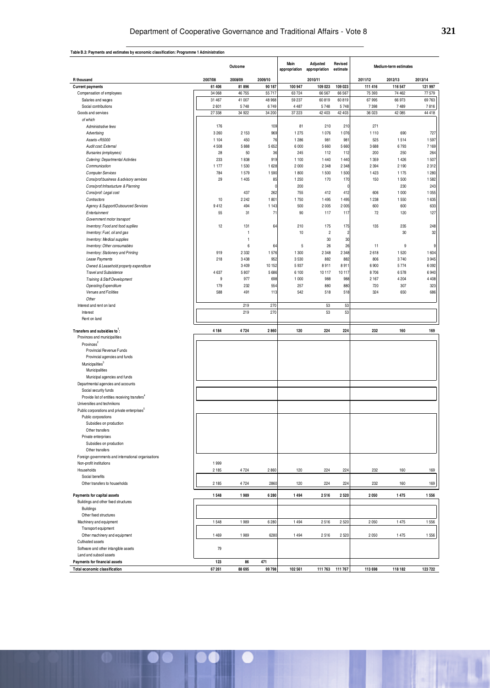#### **Table B.3: Payments and estimates by economic classification: Programme 1 Administration**

|                                                                                                                                                     |               | Outcome         |                | Main<br>appropriation | Adjusted<br>appropriation | Revised<br>estimate |                   | Medium-term estimates |                 |
|-----------------------------------------------------------------------------------------------------------------------------------------------------|---------------|-----------------|----------------|-----------------------|---------------------------|---------------------|-------------------|-----------------------|-----------------|
| R thousand                                                                                                                                          | 2007/08       | 2008/09         | 2009/10        |                       | 2010/11                   |                     | 2011/12           | 2012/13               | 2013/14         |
| <b>Current payments</b>                                                                                                                             | 61 40 6       | 81 896          | 90 187         | 100 947               | 109 023                   | 109 023             | 111 416           | 116 547               | 121 997         |
| Compensation of employees                                                                                                                           | 34 068        | 46 755          | 55 717         | 63724                 | 66 5 67                   | 66 567              | 75 393            | 74 462                | 77 579          |
| Salaries and wages                                                                                                                                  | 31 467        | 41 007          | 48 968         | 59 237                | 60819                     | 60819               | 67995             | 66 973                | 69 763          |
| Social contributions<br>Goods and services                                                                                                          | 2601<br>27338 | 5748<br>34 922  | 6749<br>34 200 | 4 4 8 7<br>37 223     | 5748<br>42 403            | 5748<br>42 403      | 7 3 9 8<br>36 023 | 7489<br>42 085        | 7816<br>44 4 18 |
| of which                                                                                                                                            |               |                 |                |                       |                           |                     |                   |                       |                 |
| Administrative fees                                                                                                                                 | 176           |                 | 109            | 81                    | 210                       | 210                 | 271               |                       |                 |
| Advertising                                                                                                                                         | 3 2 6 0       | 2 1 5 3         | 969            | 1 2 7 5               | 1076                      | 1076                | 1110              | 690                   | 727             |
| Assets <r5000< td=""><td>1 1 0 4</td><td>450</td><td>76</td><td>1 2 8 6</td><td>981</td><td>981</td><td>525</td><td>1514</td><td>1597</td></r5000<> | 1 1 0 4       | 450             | 76             | 1 2 8 6               | 981                       | 981                 | 525               | 1514                  | 1597            |
| Audit cost: External                                                                                                                                | 4508          | 5888            | 5652           | 6 0 0 0               | 5 6 6 0                   | 5660                | 3688              | 6793                  | 7169            |
| Bursaries (employees)                                                                                                                               | 28            | 50              | 36             | 245                   | 112                       | 112                 | 200               | 250                   | 264             |
| Catering: Departmental Activties                                                                                                                    | 233           | 1838            | 919            | 1 1 0 0               | 1440                      | 1440                | 1 3 5 9           | 1 4 2 6               | 1507            |
| Communication                                                                                                                                       | 1 1 7 7       | 1530            | 1628           | 2 0 0 0               | 2 3 4 8                   | 2 3 4 8             | 2 3 9 4           | 2 1 9 0               | 2312            |
| Computer Services                                                                                                                                   | 784<br>29     | 1579<br>1 4 0 5 | 1590<br>85     | 1800<br>1 2 5 0       | 1500<br>170               | 1500<br>170         | 1423<br>150       | 1 1 7 5<br>1500       | 1280<br>1582    |
| Cons/prof:business & advisory services<br>Cons/prof:Infrastucture & Planning                                                                        |               |                 | (              | 200                   |                           |                     |                   | 230                   | 243             |
| Cons/prof: Legal cost                                                                                                                               |               | 437             | 262            | 755                   | 412                       | 412                 | 606               | 1 0 0 0               | 1055            |
| Contractors                                                                                                                                         | 10            | 2 2 4 2         | 1801           | 1750                  | 1 4 9 5                   | 1495                | 1 2 3 8           | 1550                  | 1635            |
| Agency & Support/Outsourced Services                                                                                                                | 9412          | 494             | 1 1 4 3        | 500                   | 2005                      | 2005                | 600               | 600                   | 633             |
| Entertainment                                                                                                                                       | 55            | 31              | 71             | 90                    | 117                       | 117                 | 72                | 120                   | 127             |
| Government motor transport                                                                                                                          |               |                 |                |                       |                           |                     |                   |                       |                 |
| Inventory: Food and food supliies                                                                                                                   | 12            | 131             | 64             | 210                   | 175                       | 175                 | 135               | 235                   | 248             |
| Inventory: Fuel, oil and gas                                                                                                                        |               | 1               |                | 10                    | $\sqrt{2}$                | 2                   |                   | 30                    | 32              |
| Inventory: Medical supplies                                                                                                                         |               | $\mathbf{1}$    |                |                       | 30                        | 30                  |                   |                       |                 |
| Inventory: Other consumables                                                                                                                        |               | 6               | 64             | 5                     | 26                        | 26                  | 11                | 9                     |                 |
| Inventory: Stationery and Printing                                                                                                                  | 919           | 2 3 3 2         | 1576           | 1 300                 | 2 3 4 8                   | 2 3 4 8             | 2618              | 1520                  | 1604            |
| Lease Payments                                                                                                                                      | 218           | 3 4 3 8         | 952            | 3530                  | 882                       | 882                 | 806               | 3740                  | 3945            |
| Owned & Leasehold property expenditure                                                                                                              | 4637          | 3409<br>5807    | 10 152<br>5686 | 5937<br>6 100         | 8911                      | 8911                | 6900<br>8706      | 5774<br>6578          | 6092<br>6940    |
| <b>Travel and Subsistence</b><br>Training & Staff Development                                                                                       | 9             | 977             | 698            | 1 0 0 0               | 10117<br>988              | 10117<br>988        | 2 1 6 7           | 4 2 0 4               | 4 4 0 8         |
| Operating Expenditure                                                                                                                               | 179           | 232             | 554            | 257                   | 880                       | 880                 | 720               | 307                   | 323             |
| Venues and Ficilities                                                                                                                               | 588           | 491             | 113            | 542                   | 518                       | 518                 | 324               | 650                   | 686             |
| Other                                                                                                                                               |               |                 |                |                       |                           |                     |                   |                       |                 |
| Interest and rent on land                                                                                                                           |               | 219             | 270            |                       | 53                        | 53                  |                   |                       |                 |
| Interest                                                                                                                                            |               | 219             | 270            |                       | 53                        | 53                  |                   |                       |                 |
| Rent on land                                                                                                                                        |               |                 |                |                       |                           |                     |                   |                       |                 |
| Transfers and subsidies to:                                                                                                                         | 4184          | 4724            | 2860           | 120                   | 224                       | 224                 | 232               | 160                   | 169             |
| Provinces and municipalities                                                                                                                        |               |                 |                |                       |                           |                     |                   |                       |                 |
| Provinces <sup>2</sup>                                                                                                                              |               |                 |                |                       |                           |                     |                   |                       |                 |
| Provincial Revenue Funds                                                                                                                            |               |                 |                |                       |                           |                     |                   |                       |                 |
| Provincial agencies and funds                                                                                                                       |               |                 |                |                       |                           |                     |                   |                       |                 |
| Municipalities <sup>3</sup>                                                                                                                         |               |                 |                |                       |                           |                     |                   |                       |                 |
| Municipalities                                                                                                                                      |               |                 |                |                       |                           |                     |                   |                       |                 |
| Municipal agencies and funds<br>Departmental agencies and accounts                                                                                  |               |                 |                |                       |                           |                     |                   |                       |                 |
| Social security funds                                                                                                                               |               |                 |                |                       |                           |                     |                   |                       |                 |
| Provide list of entities receiving transfers <sup>4</sup>                                                                                           |               |                 |                |                       |                           |                     |                   |                       |                 |
| Universities and technikons                                                                                                                         |               |                 |                |                       |                           |                     |                   |                       |                 |
| Public corporations and private enterprises <sup>5</sup>                                                                                            |               |                 |                |                       |                           |                     |                   |                       |                 |
| Public corporations                                                                                                                                 |               |                 |                |                       |                           |                     |                   |                       |                 |
| Subsidies on production                                                                                                                             |               |                 |                |                       |                           |                     |                   |                       |                 |
| Other transfers                                                                                                                                     |               |                 |                |                       |                           |                     |                   |                       |                 |
| Private enterprises                                                                                                                                 |               |                 |                |                       |                           |                     |                   |                       |                 |
| Subsidies on production                                                                                                                             |               |                 |                |                       |                           |                     |                   |                       |                 |
| Other transfers                                                                                                                                     |               |                 |                |                       |                           |                     |                   |                       |                 |
| Foreign governments and international organisations<br>Non-profit institutions                                                                      | 1999          |                 |                |                       |                           |                     |                   |                       |                 |
| Households                                                                                                                                          | 2 1 8 5       | 4 7 2 4         | 2860           | 120                   | 224                       | 224                 | 232               | 160                   | 169             |
| Social benefits                                                                                                                                     |               |                 |                |                       |                           |                     |                   |                       |                 |
| Other transfers to households                                                                                                                       | 2185          | 4724            | 2860           | 120                   | 224                       | 224                 | 232               | 160                   | 169             |
|                                                                                                                                                     |               |                 |                |                       |                           |                     |                   |                       |                 |
| Payments for capital assets                                                                                                                         | 1548          | 1989            | 6 2 8 0        | 1494                  | 2516                      | 2520                | 2 0 5 0           | 1475                  | 1 5 5 6         |
| Buildings and other fixed structures                                                                                                                |               |                 |                |                       |                           |                     |                   |                       |                 |
| <b>Buildings</b>                                                                                                                                    |               |                 |                |                       |                           |                     |                   |                       |                 |
| Other fixed structures                                                                                                                              |               |                 |                |                       |                           |                     |                   |                       |                 |
| Machinery and equipment                                                                                                                             | 1548          | 1989            | 6 2 8 0        | 1494                  | 2516                      | 2520                | 2 0 5 0           | 1 4 7 5               | 1 5 5 6         |
| Transport equipment<br>Other machinery and equipment                                                                                                | 1469          | 1989            | 6280           | 1494                  | 2516                      | 2 5 2 0             | 2050              | 1475                  | 1556            |
| Cultivated assets                                                                                                                                   |               |                 |                |                       |                           |                     |                   |                       |                 |
| Software and other intangible assets                                                                                                                | 79            |                 |                |                       |                           |                     |                   |                       |                 |
| Land and subsoil assets                                                                                                                             |               |                 |                |                       |                           |                     |                   |                       |                 |
| Payments for financial assets                                                                                                                       | 123           | 86              | 471            |                       |                           |                     |                   |                       |                 |
| Total economic classification                                                                                                                       | 67 261        | 88 6 95         | 99798          | 102 561               | 111 763                   | 111 767             | 113 698           | 118 182               | 123722          |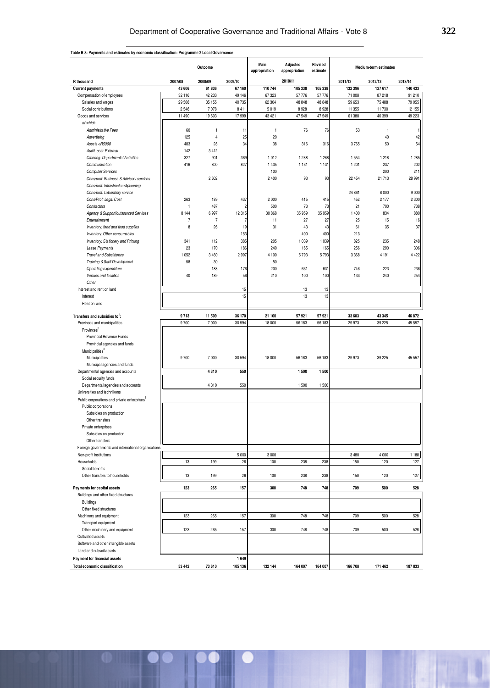| Table B.3: Payments and estimates by economic classification: Programme 2 Local Governance                                             |                | Outcome        | Main<br>appropriation | Adjusted<br>appropriation | Revised<br>estimate | Medium-term estimates |          |              |         |
|----------------------------------------------------------------------------------------------------------------------------------------|----------------|----------------|-----------------------|---------------------------|---------------------|-----------------------|----------|--------------|---------|
| R thousand                                                                                                                             | 2007/08        | 2008/09        | 2009/10               |                           | 2010/11             |                       | 2011/12  | 2012/13      | 2013/14 |
| <b>Current payments</b>                                                                                                                | 43 606         | 61836          | 67 160                | 110744                    | 105 338             | 105 338               | 132 396  | 127 617      | 140 433 |
| Compensation of employees                                                                                                              | 32 116         | 42 2 3 3       | 49 146                | 67323                     | 57776               | 57776                 | 71 008   | 87218        | 91 210  |
| Salaries and wages                                                                                                                     | 29 5 68        | 35 155         | 40 735                | 62 304                    | 48 8 48             | 48 848                | 59 653   | 75 488       | 79 055  |
| Social contributions                                                                                                                   | 2 5 4 8        | 7078           | 8411                  | 5019                      | 8928                | 8928                  | 11 355   | 11730        | 12 155  |
| Goods and services                                                                                                                     | 11 490         | 19603          | 17999                 | 43 4 21                   | 47549               | 47549                 | 61 388   | 40 399       | 49 223  |
| of which                                                                                                                               |                |                |                       |                           |                     |                       |          |              |         |
| <b>Administrative Fees</b>                                                                                                             | 60             | 1              | 11                    | $\mathbf{1}$              | 76                  | 76                    | 53       | $\mathbf{1}$ |         |
| Advertising                                                                                                                            | 125            | 4              | 25                    | 20                        |                     |                       |          | 40           | 42      |
| Assets <r5000< td=""><td>483</td><td>28</td><td>34</td><td>38</td><td>316</td><td>316</td><td>3765</td><td>50</td><td>54</td></r5000<> | 483            | 28             | 34                    | 38                        | 316                 | 316                   | 3765     | 50           | 54      |
| Audit cost: External                                                                                                                   | 142            | 3412           |                       |                           |                     |                       |          |              |         |
| Catering: Departmental Activities                                                                                                      | 327            | 901            | 369                   | 1 0 1 2                   | 1 2 8 8             | 1 2 8 8               | 1554     | 1218         | 1 2 8 5 |
| Communication                                                                                                                          | 416            | 800            | 827                   | 1 4 3 5                   | 1 1 3 1             | 1 1 3 1               | 1201     | 237          | 202     |
| <b>Computer Services</b>                                                                                                               |                |                |                       | 100                       |                     |                       |          | 200          | 211     |
| Cons/prof: Business & Advisory services                                                                                                |                | 2602           |                       | 2 4 0 0                   | 93                  | 93                    | 22 4 5 4 | 21 713       | 28 991  |
| Cons/prof: Infrastructure &planning                                                                                                    |                |                |                       |                           |                     |                       |          |              |         |
| Cons/prof: Laboratory service                                                                                                          |                |                |                       |                           |                     |                       | 24 861   | 8 0 0 0      | 9000    |
| Cons/Prof: Legal Cost                                                                                                                  | 263            | 189            | 437                   | 2 0 0 0                   | 415                 | 415                   | 452      | 2 177        | 2 3 0 0 |
| Contractors                                                                                                                            | 1              | 487            |                       | 500                       | 73                  | 73                    | 21       | 700          | 738     |
| Agency & Support/outsourced Services                                                                                                   | 8 1 4 4        | 6997           | 12 3 15               | 30 868                    | 35 959              | 35 959                | 1400     | 834          | 880     |
| Entertainment                                                                                                                          | $\overline{7}$ | $\overline{7}$ |                       | 11                        | 27                  | 27                    | 25       | 15           | 16      |
|                                                                                                                                        |                |                |                       | 31                        |                     |                       |          |              |         |
| Inventory: food and food supplies                                                                                                      | 8              | 26             | 19                    |                           | 43                  | 43                    | 61       | 35           | 37      |
| Inventory: Other consumables                                                                                                           |                |                | 153                   |                           | 400                 | 400                   | 213      |              |         |
| Inventory: Stationery and Printing                                                                                                     | 341            | 112            | 385                   | 205                       | 1 0 3 9             | 1 0 3 9               | 825      | 235          | 248     |
| Lease Payments                                                                                                                         | 23             | 170            | 186                   | 240                       | 165                 | 165                   | 256      | 290          | 306     |
| <b>Travel and Subsistence</b>                                                                                                          | 1 0 5 2        | 3460           | 2997                  | 4 100                     | 5793                | 5793                  | 3368     | 4 1 9 1      | 4 4 2 2 |
| Training & Staff Development                                                                                                           | 58             | 30             |                       | 50                        |                     |                       |          |              |         |
| Operating expenditure                                                                                                                  |                | 188            | 176                   | 200                       | 631                 | 631                   | 746      | 223          | 236     |
| Venues and facilities                                                                                                                  | 40             | 189            | 56                    | 210                       | 100                 | 100                   | 133      | 240          | 254     |
| Other                                                                                                                                  |                |                |                       |                           |                     |                       |          |              |         |
| Interest and rent on land                                                                                                              |                |                | 15                    |                           | 13                  | 13                    |          |              |         |
| Interest                                                                                                                               |                |                | 15                    |                           | 13                  | 13                    |          |              |         |
| Rent on land                                                                                                                           |                |                |                       |                           |                     |                       |          |              |         |
|                                                                                                                                        |                |                |                       |                           |                     |                       |          |              |         |
| Transfers and subsidies to:                                                                                                            | 9713           | 11 509         | 36 170                | 21 100                    | 57921               | 57921                 | 33 603   | 43 345       | 46 872  |
| Provinces and municipalities                                                                                                           | 9700           | 7000           | 30 594                | 18 000                    | 56 183              | 56 183                | 29973    | 39 2 25      | 45 557  |
| Provinces <sup>2</sup>                                                                                                                 |                |                |                       |                           |                     |                       |          |              |         |
| Provincial Revenue Funds                                                                                                               |                |                |                       |                           |                     |                       |          |              |         |
| Provincial agencies and funds                                                                                                          |                |                |                       |                           |                     |                       |          |              |         |
| Municipalities <sup>3</sup>                                                                                                            |                |                |                       |                           |                     |                       |          |              |         |
| Municipalities                                                                                                                         | 9700           | 7000           | 30 594                | 18 000                    | 56 183              | 56 183                | 29973    | 39 2 25      | 45 557  |
| Municipal agencies and funds                                                                                                           |                |                |                       |                           |                     |                       |          |              |         |
| Departmental agencies and accounts                                                                                                     |                | 4310           | 550                   |                           | 1500                | 1500                  |          |              |         |
| Social security funds                                                                                                                  |                |                |                       |                           |                     |                       |          |              |         |
| Departmental agencies and accounts                                                                                                     |                | 4 3 1 0        | 550                   |                           | 1500                | 1500                  |          |              |         |
| Universities and technikons                                                                                                            |                |                |                       |                           |                     |                       |          |              |         |
| Public corporations and private enterprises <sup>5</sup>                                                                               |                |                |                       |                           |                     |                       |          |              |         |
| Public corporations                                                                                                                    |                |                |                       |                           |                     |                       |          |              |         |
| Subsidies on production                                                                                                                |                |                |                       |                           |                     |                       |          |              |         |
| Other transfers                                                                                                                        |                |                |                       |                           |                     |                       |          |              |         |
| Private enterprises                                                                                                                    |                |                |                       |                           |                     |                       |          |              |         |
| Subsidies on production                                                                                                                |                |                |                       |                           |                     |                       |          |              |         |
| Other transfers                                                                                                                        |                |                |                       |                           |                     |                       |          |              |         |
| Foreign governments and international organisations                                                                                    |                |                |                       |                           |                     |                       |          |              |         |
| Non-profit institutions                                                                                                                |                |                | 5 0 0 0               | 3 0 0 0                   |                     |                       | 3 4 8 0  | 4 0 0 0      | 1 188   |
| Households                                                                                                                             | 13             | 199            | 26                    | 100                       | 238                 | 238                   | 150      | 120          | 127     |
| Social benefits                                                                                                                        |                |                |                       |                           |                     |                       |          |              |         |
| Other transfers to households                                                                                                          | 13             | 199            | 26                    | 100                       | 238                 | 238                   | 150      | 120          | 127     |
|                                                                                                                                        |                |                |                       |                           |                     |                       |          |              |         |
| Payments for capital assets                                                                                                            | 123            | 265            | 157                   | 300                       | 748                 | 748                   | 709      | 500          | 528     |
| Buildings and other fixed structures                                                                                                   |                |                |                       |                           |                     |                       |          |              |         |
| <b>Buildings</b>                                                                                                                       |                |                |                       |                           |                     |                       |          |              |         |
| Other fixed structures                                                                                                                 |                |                |                       |                           |                     |                       |          |              |         |
| Machinery and equipment                                                                                                                | 123            | 265            | 157                   | 300                       | 748                 | 748                   | 709      | 500          | 528     |
| Transport equipment                                                                                                                    |                |                |                       |                           |                     |                       |          |              |         |
| Other machinery and equipment                                                                                                          | 123            | 265            | 157                   | 300                       | 748                 | 748                   | 709      | 500          | 528     |
|                                                                                                                                        |                |                |                       |                           |                     |                       |          |              |         |
| Cultivated assets                                                                                                                      |                |                |                       |                           |                     |                       |          |              |         |
| Software and other intangible assets                                                                                                   |                |                |                       |                           |                     |                       |          |              |         |
| Land and subsoil assets                                                                                                                |                |                |                       |                           |                     |                       |          |              |         |
| Payment for financial assets                                                                                                           |                |                | 1649                  |                           |                     |                       |          |              |         |
| Total economic classification                                                                                                          | 53 442         | 73 610         | 105 136               | 132 144                   | 164 007             | 164 007               | 166708   | 171 462      | 187833  |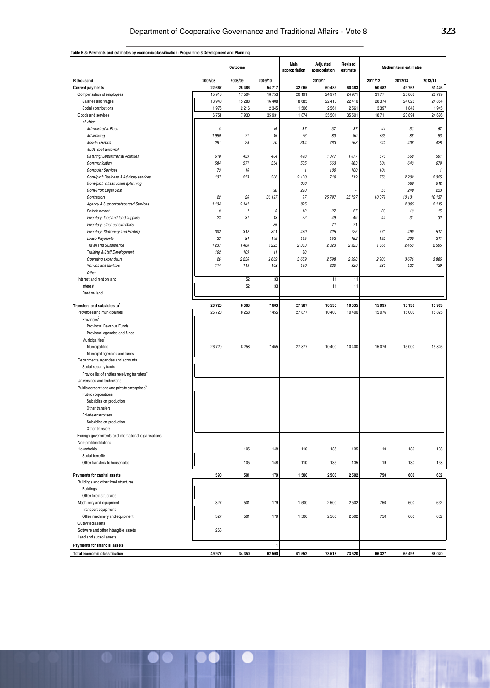## **Table B.3: Payments and estimates by economic classification: Programme 3 Development and Planning**

|                                                                                                                                          | Outcome          |                    |              | Main<br>appropriation | Adjusted<br>appropriation | Revised<br>estimate | Medium-term estimates |                  |                  |
|------------------------------------------------------------------------------------------------------------------------------------------|------------------|--------------------|--------------|-----------------------|---------------------------|---------------------|-----------------------|------------------|------------------|
| R thousand                                                                                                                               | 2007/08          | 2008/09            | 2009/10      |                       | 2010/11                   |                     | 2011/12               | 2012/13          | 2013/14          |
| <b>Current payments</b>                                                                                                                  | 22 667           | 25 4 86            | 54 717       | 32 065                | 60 483                    | 60 483              | 50 482                | 49 762           | 51 475           |
| Compensation of employees                                                                                                                | 15 916           | 17504              | 18753        | 20 191                | 24 971                    | 24 971              | 31 771                | 25 868           | 26 799           |
| Salaries and wages                                                                                                                       | 13 940           | 15 288             | 16 408       | 18 685                | 22 410                    | 22 4 10             | 28 374                | 24 0 26          | 24 854           |
| Social contributions                                                                                                                     | 1976             | 2216               | 2 3 4 5      | 1506                  | 2561                      | 2561                | 3 3 9 7               | 1842             | 1945             |
| Goods and services<br>of which                                                                                                           | 6751             | 7930               | 35 931       | 11 874                | 35 501                    | 35 501              | 18711                 | 23 894           | 24 676           |
| Administrative Fees                                                                                                                      | 8                |                    | 15           | 37                    | 37                        | 37                  | 41                    | 53               | 57               |
| Advertising                                                                                                                              | 1999             | 77                 | $15\,$       | 76                    | 80                        | 80                  | 335                   | 88               | 93               |
| Assets <r5000< td=""><td>281</td><td>29</td><td>20</td><td>314</td><td>763</td><td>763</td><td>241</td><td>406</td><td>428</td></r5000<> | 281              | 29                 | 20           | 314                   | 763                       | 763                 | 241                   | 406              | 428              |
| Audit cost: External                                                                                                                     |                  |                    |              |                       |                           |                     |                       |                  |                  |
| Catering: Departmental Activities                                                                                                        | 618              | 439                | 404          | 498                   | 1077                      | 1077                | 670                   | 560              | 591              |
| Communication                                                                                                                            | 584              | 571                | 354          | 505                   | 663                       | 663                 | 601                   | 643              | 679              |
| <b>Computer Services</b>                                                                                                                 | 73               | 16                 |              | $\mathbf{1}$          | 100                       | 100                 | 101                   | $\mathbf{1}$     |                  |
| Cons/prof: Business & Advisory services                                                                                                  | 137              | 253                | 306          | 2 100                 | 719                       | 719                 | 756                   | 2 2 0 2          | 2 3 2 5          |
| Cons/prof: Infrastructure &planning                                                                                                      |                  |                    |              | 300                   |                           |                     |                       | 580              | 612              |
| Cons/Prof: Legal Cost                                                                                                                    |                  |                    | 90           | 220                   |                           |                     | 50                    | 240              | 253              |
| Contractors                                                                                                                              | 22               | 26                 | 30 197       | 97                    | 25 797                    | 25 797              | 10 079                | 10 131           | 10 137           |
| Agency & Support/outsourced Services                                                                                                     | 1 1 3 4          | 2 142              |              | 895                   |                           |                     |                       | 2005             | 2 1 1 5          |
| Entertainment                                                                                                                            | 8                | $\overline{7}$     | 3            | 12                    | 27                        | 27                  | 20                    | 13               | 15               |
| Inventory: food and food supplies                                                                                                        | 23               | 31                 | 13           | 22                    | 49                        | 49                  | 44                    | 31               | 32               |
| Inventory: other consumables                                                                                                             |                  |                    | 35           |                       | 71                        | 71                  |                       |                  |                  |
| Inventory: Stationery and Printing                                                                                                       | 302              | 312                | 301          | 430                   | 725                       | 725                 | 570                   | 490              | 517              |
| Lease Payments                                                                                                                           | 23               | 84                 | 145          | 145                   | 152                       | 152                 | 152                   | 200              | 211              |
| Travel and Subsistence                                                                                                                   | 1237             | 1480               | 1225         | 2383                  | 2 3 2 3                   | 2 3 2 3             | 1868                  | 2 4 5 3          | 2 5 9 5          |
| Training & Staff Development                                                                                                             | 162              | 109                | 11           | 30                    |                           |                     |                       |                  |                  |
| Operating expenditure                                                                                                                    | 26               | 2 2 3 6            | 2689         | 3659                  | 2598                      | 2598                | 2903                  | 3676             | 3886             |
| Venues and facilities                                                                                                                    | 114              | 118                | 108          | 150                   | 320                       | 320                 | 280                   | 122              | 129              |
| Other                                                                                                                                    |                  |                    |              |                       |                           |                     |                       |                  |                  |
| Interest and rent on land                                                                                                                |                  | 52                 | 33           |                       | 11                        | 11                  |                       |                  |                  |
| Interest                                                                                                                                 |                  | 52                 | 33           |                       | 11                        | 11                  |                       |                  |                  |
| Rent on land                                                                                                                             |                  |                    |              |                       |                           |                     |                       |                  |                  |
|                                                                                                                                          |                  |                    |              | 27 987                |                           |                     |                       |                  |                  |
| Transfers and subsidies to <sup>1</sup> :                                                                                                | 26 720<br>26 720 | 8 3 6 3<br>8 2 5 8 | 7603<br>7455 |                       | 10535<br>10 400           | 10535<br>10 400     | 15 0 95<br>15076      | 15 130<br>15 000 | 15 963<br>15 825 |
| Provinces and municipalities<br>Provinces <sup>2</sup>                                                                                   |                  |                    |              | 27 877                |                           |                     |                       |                  |                  |
| Provincial Revenue Funds                                                                                                                 |                  |                    |              |                       |                           |                     |                       |                  |                  |
| Provincial agencies and funds                                                                                                            |                  |                    |              |                       |                           |                     |                       |                  |                  |
| Municipalities <sup>3</sup>                                                                                                              |                  |                    |              |                       |                           |                     |                       |                  |                  |
| Municipalities                                                                                                                           | 26 720           | 8 2 5 8            | 7455         | 27 877                | 10 400                    | 10400               | 15 0 76               | 15 000           | 15 825           |
| Municipal agencies and funds                                                                                                             |                  |                    |              |                       |                           |                     |                       |                  |                  |
| Departmental agencies and accounts                                                                                                       |                  |                    |              |                       |                           |                     |                       |                  |                  |
| Social security funds                                                                                                                    |                  |                    |              |                       |                           |                     |                       |                  |                  |
| Provide list of entities receiving transfers <sup>4</sup>                                                                                |                  |                    |              |                       |                           |                     |                       |                  |                  |
| Universities and technikons                                                                                                              |                  |                    |              |                       |                           |                     |                       |                  |                  |
| Public corporations and private enterprises <sup>5</sup>                                                                                 |                  |                    |              |                       |                           |                     |                       |                  |                  |
| Public corporations                                                                                                                      |                  |                    |              |                       |                           |                     |                       |                  |                  |
| Subsidies on production                                                                                                                  |                  |                    |              |                       |                           |                     |                       |                  |                  |
| Other transfers                                                                                                                          |                  |                    |              |                       |                           |                     |                       |                  |                  |
| Private enterprises                                                                                                                      |                  |                    |              |                       |                           |                     |                       |                  |                  |
| Subsidies on production                                                                                                                  |                  |                    |              |                       |                           |                     |                       |                  |                  |
| Other transfers                                                                                                                          |                  |                    |              |                       |                           |                     |                       |                  |                  |
| Foreign governments and international organisations                                                                                      |                  |                    |              |                       |                           |                     |                       |                  |                  |
| Non-profit institutions                                                                                                                  |                  |                    |              |                       |                           |                     |                       |                  |                  |
| Households                                                                                                                               |                  | 105                | 148          | 110                   | 135                       | 135                 | 19                    | 130              | 138              |
| Social benefits                                                                                                                          |                  |                    |              |                       |                           |                     |                       |                  |                  |
| Other transfers to households                                                                                                            |                  | 105                | 148          | 110                   | 135                       | 135                 | 19                    | 130              | 138              |
|                                                                                                                                          |                  |                    |              |                       |                           |                     |                       |                  |                  |
| Payments for capital assets                                                                                                              | 590              | 501                | 179          | 1 500                 | 2500                      | 2502                | 750                   | 600              | 632              |
| Buildings and other fixed structures                                                                                                     |                  |                    |              |                       |                           |                     |                       |                  |                  |
| Buildings                                                                                                                                |                  |                    |              |                       |                           |                     |                       |                  |                  |
| Other fixed structures                                                                                                                   |                  |                    |              |                       |                           |                     |                       |                  |                  |
| Machinery and equipment                                                                                                                  | 327              | 501                | 179          | 1 500                 | 2500                      | 2502                | 750                   | 600              | 632              |
| Transport equipment                                                                                                                      |                  |                    |              |                       |                           |                     |                       |                  |                  |
| Other machinery and equipment                                                                                                            | 327              | 501                | 179          | 1 500                 | 2500                      | 2502                | 750                   | 600              | 632              |
| Cultivated assets                                                                                                                        |                  |                    |              |                       |                           |                     |                       |                  |                  |
| Software and other intangible assets<br>Land and subsoil assets                                                                          | 263              |                    |              |                       |                           |                     |                       |                  |                  |
|                                                                                                                                          |                  |                    |              |                       |                           |                     |                       |                  |                  |
| Payments for financial assets                                                                                                            |                  |                    | 1            |                       |                           |                     |                       |                  |                  |
| Total economic classification                                                                                                            | 49 977           | 34 350             | 62 500       | 61 552                | 73518                     | 73 520              | 66 327                | 65 492           | 68 070           |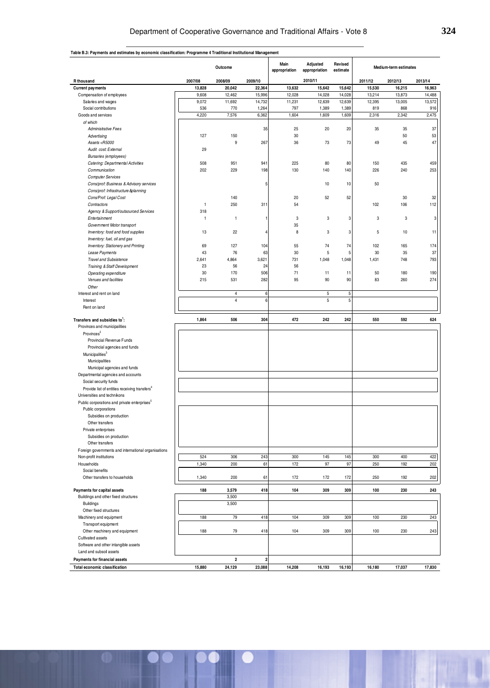#### **Table B.3: Payments and estimates by economic classification: Programme 4 Traditional Institutional Management**

|                                                                                                                                 |              | Outcome        |                | Main<br>appropriation | Adjusted<br>appropriation | Revised<br>estimate | Medium-term estimates |         |              |
|---------------------------------------------------------------------------------------------------------------------------------|--------------|----------------|----------------|-----------------------|---------------------------|---------------------|-----------------------|---------|--------------|
| R thousand                                                                                                                      | 2007/08      | 2008/09        | 2009/10        |                       | 2010/11                   |                     | 2011/12               | 2012/13 | 2013/14      |
| <b>Current payments</b>                                                                                                         | 13,828       | 20,042         | 22,364         | 13,632                | 15,642                    | 15,642              | 15,530                | 16,215  | 16,963       |
| Compensation of employees                                                                                                       | 9,608        | 12,462         | 15,996         | 12,028                | 14,028                    | 14,028              | 13,214                | 13,873  | 14,488       |
| Salaries and wages                                                                                                              | 9,072        | 11,692         | 14,732         | 11,231                | 12,639                    | 12,639              | 12,395                | 13,005  | 13,572       |
| Social contributions                                                                                                            | 536          | 770            | 1,264          | 797                   | 1,389                     | 1,389               | 819                   | 868     | 916          |
| Goods and services<br>of which                                                                                                  | 4,220        | 7,576          | 6,362          | 1,604                 | 1,609                     | 1,609               | 2,316                 | 2,342   | 2,475        |
| <b>Administrative Fees</b>                                                                                                      |              |                | 35             | 25                    | 20                        | 20                  | 35                    | 35      | 37           |
| Advertising                                                                                                                     | 127          | 150            |                | 30                    |                           |                     |                       | 50      | 53           |
| Assets <r5000< td=""><td></td><td>9</td><td>267</td><td>36</td><td>73</td><td>73</td><td>49</td><td>45</td><td>47</td></r5000<> |              | 9              | 267            | 36                    | 73                        | 73                  | 49                    | 45      | 47           |
| Audit cost: External                                                                                                            | 29           |                |                |                       |                           |                     |                       |         |              |
| Bursaries (employees)                                                                                                           |              |                |                |                       |                           |                     |                       |         |              |
| Catering: Departmental Activities                                                                                               | 508          | 951            | 941            | 225                   | 80                        | 80                  | 150                   | 435     | 459          |
| Communication                                                                                                                   | 202          | 229            | 198            | 130                   | 140                       | 140                 | 226                   | 240     | 253          |
| <b>Computer Services</b>                                                                                                        |              |                |                |                       |                           |                     |                       |         |              |
| Cons/prof: Business & Advisory services                                                                                         |              |                | 5              |                       | 10                        | 10                  | 50                    |         |              |
| Cons/prof: Infrastructure &planning                                                                                             |              |                |                |                       |                           |                     |                       |         |              |
| Cons/Prof: Legal Cost                                                                                                           |              | 140            |                | 20                    | 52                        | 52                  |                       | 30      | 32           |
| Contractors                                                                                                                     | $\mathbf{1}$ | 250            | 311            | 54                    |                           |                     | 102                   | 106     | 112          |
| Agency & Support/outsourced Services                                                                                            | 318          |                |                |                       |                           |                     |                       |         |              |
| Entertainment                                                                                                                   | 1            | 1              | 1              | 3                     | 3                         | 3                   | 3                     | 3       | $\mathbf{3}$ |
| Government Motor transport                                                                                                      |              |                |                | 35                    |                           |                     |                       |         |              |
| Inventory: food and food supplies                                                                                               | 13           | 22             | 4              | 8                     | 3                         | 3                   | 5                     | 10      | 11           |
| Inventory: fuel, oil and gas                                                                                                    |              | 127            |                | 55                    | 74                        | 74                  | 102                   | 165     |              |
| Inventory: Stationery and Printing<br>Lease Payments                                                                            | 69<br>43     | 76             | 104<br>63      | 30                    | 5                         | 5                   | 30                    | 35      | 174<br>37    |
| Travel and Subsistence                                                                                                          | 2,641        | 4,864          | 3,621          | 731                   | 1,048                     | 1,048               | 1,431                 | 748     | 793          |
| Training & Staff Development                                                                                                    | 23           | 56             | 24             | 56                    |                           |                     |                       |         |              |
| Operating expenditure                                                                                                           | 30           | 170            | 506            | 71                    | 11                        | 11                  | 50                    | 180     | 190          |
| Venues and facilities                                                                                                           | 215          | 531            | 282            | 95                    | 90                        | 90                  | 83                    | 260     | 274          |
| Other                                                                                                                           |              |                |                |                       |                           |                     |                       |         |              |
| Interest and rent on land                                                                                                       |              | $\overline{4}$ | 6              |                       | 5                         | 5                   |                       |         |              |
| Interest                                                                                                                        |              | $\overline{4}$ | $6\vert$       |                       | 5                         | 5                   |                       |         |              |
| Rent on land                                                                                                                    |              |                |                |                       |                           |                     |                       |         |              |
|                                                                                                                                 |              |                |                |                       |                           |                     |                       |         |              |
| Transfers and subsidies to:                                                                                                     | 1,864        | 506            | 304            | 472                   | 242                       | 242                 | 550                   | 592     | 624          |
| Provinces and municipalities                                                                                                    |              |                |                |                       |                           |                     |                       |         |              |
| Provinces <sup>2</sup>                                                                                                          |              |                |                |                       |                           |                     |                       |         |              |
| Provincial Revenue Funds                                                                                                        |              |                |                |                       |                           |                     |                       |         |              |
| Provincial agencies and funds                                                                                                   |              |                |                |                       |                           |                     |                       |         |              |
| Municipalities <sup>3</sup><br>Municipalities                                                                                   |              |                |                |                       |                           |                     |                       |         |              |
| Municipal agencies and funds                                                                                                    |              |                |                |                       |                           |                     |                       |         |              |
| Departmental agencies and accounts                                                                                              |              |                |                |                       |                           |                     |                       |         |              |
| Social security funds                                                                                                           |              |                |                |                       |                           |                     |                       |         |              |
| Provide list of entities receiving transfers <sup>4</sup>                                                                       |              |                |                |                       |                           |                     |                       |         |              |
| Universities and technikons                                                                                                     |              |                |                |                       |                           |                     |                       |         |              |
| Public corporations and private enterprises <sup>5</sup>                                                                        |              |                |                |                       |                           |                     |                       |         |              |
| Public corporations                                                                                                             |              |                |                |                       |                           |                     |                       |         |              |
| Subsidies on production                                                                                                         |              |                |                |                       |                           |                     |                       |         |              |
| Other transfers                                                                                                                 |              |                |                |                       |                           |                     |                       |         |              |
| Private enterprises                                                                                                             |              |                |                |                       |                           |                     |                       |         |              |
| Subsidies on production                                                                                                         |              |                |                |                       |                           |                     |                       |         |              |
| Other transfers                                                                                                                 |              |                |                |                       |                           |                     |                       |         |              |
| Foreign governments and international organisations                                                                             |              |                |                |                       |                           |                     |                       |         |              |
| Non-profit institutions                                                                                                         | 524          | 306            | 243            | 300                   | 145                       | 145                 | 300                   | 400     | 422          |
| Households                                                                                                                      | 1,340        | 200            | 61             | 172                   | 97                        | 97                  | 250                   | 192     | 202          |
| Social benefits<br>Other transfers to households                                                                                | 1,340        | 200            | 61             | 172                   | 172                       | 172                 | 250                   | 192     | 202          |
|                                                                                                                                 |              |                |                |                       |                           |                     |                       |         |              |
| Payments for capital assets                                                                                                     | 188          | 3,579          | 418            | 104                   | 309                       | 309                 | 100                   | 230     | 243          |
| Buildings and other fixed structures                                                                                            |              | 3,500          |                |                       |                           |                     |                       |         |              |
| <b>Buildings</b>                                                                                                                |              | 3,500          |                |                       |                           |                     |                       |         |              |
| Other fixed structures                                                                                                          |              |                |                |                       |                           |                     |                       |         |              |
| Machinery and equipment                                                                                                         | 188          | 79             | 418            | 104                   | 309                       | 309                 | 100                   | 230     | 243          |
| Transport equipment                                                                                                             |              |                |                |                       |                           |                     |                       |         |              |
| Other machinery and equipment                                                                                                   | 188          | 79             | 418            | 104                   | 309                       | 309                 | 100                   | 230     | 243          |
| Cultivated assets                                                                                                               |              |                |                |                       |                           |                     |                       |         |              |
| Software and other intangible assets                                                                                            |              |                |                |                       |                           |                     |                       |         |              |
| Land and subsoil assets                                                                                                         |              |                |                |                       |                           |                     |                       |         |              |
| Payments for financial assets                                                                                                   |              | $\mathbf{2}$   | $\overline{2}$ |                       |                           |                     |                       |         |              |
| Total economic classification                                                                                                   | 15,880       | 24,129         | 23,088         | 14,208                | 16,193                    | 16,193              | 16,180                | 17,037  | 17,830       |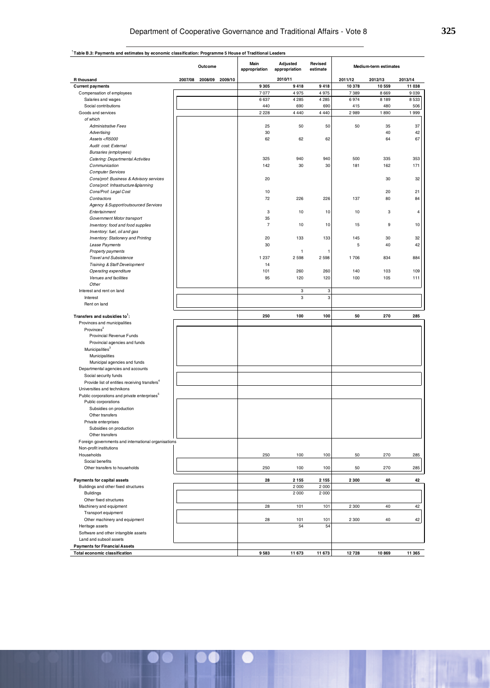| Table B.3: Payments and estimates by economic classification: Programme 5 House of Traditional Leaders                    |         | Outcome |         | Main<br>appropriation | Adjusted<br>appropriation | Revised<br>estimate |            | <b>Medium-term estimates</b> |            |
|---------------------------------------------------------------------------------------------------------------------------|---------|---------|---------|-----------------------|---------------------------|---------------------|------------|------------------------------|------------|
| R thousand                                                                                                                | 2007/08 | 2008/09 | 2009/10 |                       | 2010/11                   |                     | 2011/12    | 2012/13                      | 2013/14    |
| <b>Current payments</b>                                                                                                   |         |         |         | 9 3 0 5               | 9418                      | 9418                | 10 378     | 10 559                       | 11 038     |
| Compensation of employees                                                                                                 |         |         |         | 7077                  | 4975                      | 4975                | 7 3 8 9    | 8 6 6 9                      | 9039       |
| Salaries and wages                                                                                                        |         |         |         | 6637                  | 4 2 8 5                   | 4 2 8 5             | 6974       | 8 1 8 9                      | 8 5 3 3    |
| Social contributions                                                                                                      |         |         |         | 440                   | 690                       | 690<br>4 4 4 0      | 415        | 480                          | 506        |
| Goods and services<br>of which                                                                                            |         |         |         | 2 2 2 8               | 4 4 4 0                   |                     | 2989       | 1890                         | 1999       |
| <b>Administrative Fees</b>                                                                                                |         |         |         | 25                    | 50                        | 50                  | 50         | 35                           | 37         |
| Advertising                                                                                                               |         |         |         | 30                    |                           |                     |            | 40                           | 42         |
| Assets <r5000< td=""><td></td><td></td><td></td><td>62</td><td>62</td><td>62</td><td></td><td>64</td><td>67</td></r5000<> |         |         |         | 62                    | 62                        | 62                  |            | 64                           | 67         |
| Audit cost: External                                                                                                      |         |         |         |                       |                           |                     |            |                              |            |
| <b>Bursaries (employees)</b>                                                                                              |         |         |         |                       |                           |                     |            |                              |            |
| Catering: Departmental Activities                                                                                         |         |         |         | 325                   | 940                       | 940                 | 500        | 335                          | 353        |
| Communication                                                                                                             |         |         |         | 142                   | 30                        | 30                  | 181        | 162                          | 171        |
| <b>Computer Services</b>                                                                                                  |         |         |         | 20                    |                           |                     |            | 30                           | 32         |
| Cons/prof: Business & Advisory services<br>Cons/prof: Infrastructure &planning                                            |         |         |         |                       |                           |                     |            |                              |            |
| Cons/Prof: Legal Cost                                                                                                     |         |         |         | 10                    |                           |                     |            | 20                           | 21         |
| Contractors                                                                                                               |         |         |         | 72                    | 226                       | 226                 | 137        | 80                           | 84         |
| Agency & Support/outsourced Services                                                                                      |         |         |         |                       |                           |                     |            |                              |            |
| Entertainment                                                                                                             |         |         |         | 3                     | 10                        | 10                  | 10         | 3                            | 4          |
| Government Motor transport                                                                                                |         |         |         | 35                    |                           |                     |            |                              |            |
| Inventory: food and food supplies                                                                                         |         |         |         | $\overline{7}$        | 10                        | 10                  | 15         | 9                            | 10         |
| Inventory: fuel, oil and gas                                                                                              |         |         |         |                       |                           |                     |            |                              |            |
| Inventory: Stationery and Printing                                                                                        |         |         |         | 20                    | 133                       | 133                 | 145        | 30                           | 32         |
| Lease Payments                                                                                                            |         |         |         | 30                    |                           |                     | 5          | 40                           | 42         |
| Property payments                                                                                                         |         |         |         |                       | 1                         | 1                   |            |                              |            |
| <b>Travel and Subsistence</b>                                                                                             |         |         |         | 1 2 3 7               | 2598                      | 2598                | 1706       | 834                          | 884        |
| Training & Staff Development                                                                                              |         |         |         | 14                    |                           |                     |            |                              |            |
| Operating expenditure<br>Venues and facilities                                                                            |         |         |         | 101<br>95             | 260<br>120                | 260<br>120          | 140<br>100 | 103<br>105                   | 109<br>111 |
| Other                                                                                                                     |         |         |         |                       |                           |                     |            |                              |            |
| Interest and rent on land                                                                                                 |         |         |         |                       | 3                         | 3                   |            |                              |            |
| Interest                                                                                                                  |         |         |         |                       | 3                         | 3                   |            |                              |            |
| Rent on land                                                                                                              |         |         |         |                       |                           |                     |            |                              |            |
|                                                                                                                           |         |         |         |                       |                           |                     |            |                              |            |
| Transfers and subsidies to <sup>1</sup> :<br>Provinces and municipalities                                                 |         |         |         | 250                   | 100                       | 100                 | 50         | 270                          | 285        |
| Provinces <sup>2</sup>                                                                                                    |         |         |         |                       |                           |                     |            |                              |            |
| Provincial Revenue Funds                                                                                                  |         |         |         |                       |                           |                     |            |                              |            |
| Provincial agencies and funds                                                                                             |         |         |         |                       |                           |                     |            |                              |            |
| Municipalities <sup>3</sup>                                                                                               |         |         |         |                       |                           |                     |            |                              |            |
| Municipalities                                                                                                            |         |         |         |                       |                           |                     |            |                              |            |
| Municipal agencies and funds                                                                                              |         |         |         |                       |                           |                     |            |                              |            |
| Departmental agencies and accounts                                                                                        |         |         |         |                       |                           |                     |            |                              |            |
| Social security funds                                                                                                     |         |         |         |                       |                           |                     |            |                              |            |
| Provide list of entities receiving transfers <sup>4</sup>                                                                 |         |         |         |                       |                           |                     |            |                              |            |
| Universities and technikons                                                                                               |         |         |         |                       |                           |                     |            |                              |            |
| Public corporations and private enterprises <sup>5</sup>                                                                  |         |         |         |                       |                           |                     |            |                              |            |
| Public corporations<br>Subsidies on production                                                                            |         |         |         |                       |                           |                     |            |                              |            |
| Other transfers                                                                                                           |         |         |         |                       |                           |                     |            |                              |            |
| Private enterprises                                                                                                       |         |         |         |                       |                           |                     |            |                              |            |
| Subsidies on production                                                                                                   |         |         |         |                       |                           |                     |            |                              |            |
| Other transfers                                                                                                           |         |         |         |                       |                           |                     |            |                              |            |
| Foreign governments and international organisations                                                                       |         |         |         |                       |                           |                     |            |                              |            |
| Non-profit institutions                                                                                                   |         |         |         |                       |                           |                     |            |                              |            |
| Households                                                                                                                |         |         |         | 250                   | 100                       | 100                 | 50         | 270                          | 285        |
| Social benefits                                                                                                           |         |         |         |                       |                           |                     |            |                              |            |
| Other transfers to households                                                                                             |         |         |         | 250                   | 100                       | 100                 | 50         | 270                          | 285        |
| Payments for capital assets                                                                                               |         |         |         | 28                    | 2155                      | 2 1 5 5             | 2 3 0 0    | 40                           | 42         |
| Buildings and other fixed structures                                                                                      |         |         |         |                       | 2 0 0 0                   | 2 0 0 0             |            |                              |            |
| <b>Buildings</b>                                                                                                          |         |         |         |                       | 2 0 0 0                   | 2 0 0 0             |            |                              |            |
| Other fixed structures                                                                                                    |         |         |         |                       |                           |                     |            |                              |            |
| Machinery and equipment                                                                                                   |         |         |         | 28                    | 101                       | 101                 | 2 3 0 0    | 40                           | 42         |
| Transport equipment                                                                                                       |         |         |         |                       |                           |                     |            |                              |            |
| Other machinery and equipment                                                                                             |         |         |         | 28                    | 101                       | 101                 | 2 3 0 0    | 40                           | 42         |
| Heritage assets                                                                                                           |         |         |         |                       | 54                        | 54                  |            |                              |            |
| Software and other intangible assets                                                                                      |         |         |         |                       |                           |                     |            |                              |            |
| Land and subsoil assets<br><b>Payments for Financial Assets</b>                                                           |         |         |         |                       |                           |                     |            |                              |            |
| Total economic classification                                                                                             |         |         |         | 9583                  | 11 673                    | 11 673              | 12728      | 10869                        | 11 365     |
|                                                                                                                           |         |         |         |                       |                           |                     |            |                              |            |

#### **Traditional Institutional Management Table B.3: Payments and estimates by economic classification: Programme 5 House of Traditional Leaders**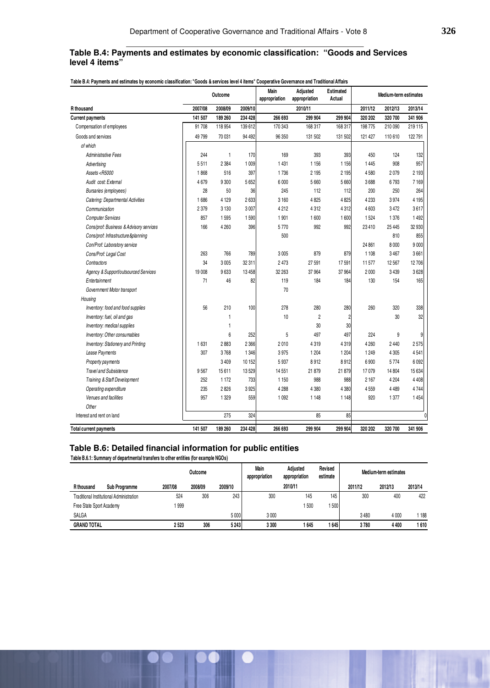## **Table B.4: Payments and estimates by economic classification: "Goods and Services level 4 items"**

|                                                                                                                                                            |         | Outcome      |         | Main<br>appropriation | <b>Adjusted</b><br>appropriation | <b>Estimated</b><br>Actual |         | Medium-term estimates |         |
|------------------------------------------------------------------------------------------------------------------------------------------------------------|---------|--------------|---------|-----------------------|----------------------------------|----------------------------|---------|-----------------------|---------|
| <b>R</b> thousand                                                                                                                                          | 2007/08 | 2008/09      | 2009/10 |                       | 2010/11                          |                            | 2011/12 | 2012/13               | 2013/14 |
| <b>Current payments</b>                                                                                                                                    | 141 507 | 189 260      | 234 428 | 266 693               | 299 904                          | 299 904                    | 320 202 | 320 700               | 341 906 |
| Compensation of employees                                                                                                                                  | 91 708  | 118 954      | 139 612 | 170 343               | 168 317                          | 168 317                    | 198 775 | 210 090               | 219 115 |
| Goods and services                                                                                                                                         | 49 799  | 70 031       | 94 492  | 96 350                | 131 502                          | 131 502                    | 121 427 | 110 610               | 122 791 |
| of which                                                                                                                                                   |         |              |         |                       |                                  |                            |         |                       |         |
| <b>Administrative Fees</b>                                                                                                                                 | 244     | $\mathbf{1}$ | 170     | 169                   | 393                              | 393                        | 450     | 124                   | 132     |
| Advertising                                                                                                                                                | 5511    | 2 3 8 4      | 1 0 0 9 | 1431                  | 1 1 5 6                          | 1156                       | 1445    | 908                   | 957     |
| Assets <r5000< td=""><td>1868</td><td>516</td><td>397</td><td>1736</td><td>2 1 9 5</td><td>2 1 9 5</td><td>4580</td><td>2079</td><td>2 1 9 3</td></r5000<> | 1868    | 516          | 397     | 1736                  | 2 1 9 5                          | 2 1 9 5                    | 4580    | 2079                  | 2 1 9 3 |
| Audit cost: External                                                                                                                                       | 4679    | 9 3 0 0      | 5652    | 6000                  | 5 6 6 0                          | 5660                       | 3688    | 6793                  | 7 1 6 9 |
| Bursaries (employees)                                                                                                                                      | 28      | 50           | 36      | 245                   | 112                              | 112                        | 200     | 250                   | 264     |
| Catering: Departmental Activities                                                                                                                          | 1686    | 4 1 2 9      | 2633    | 3160                  | 4825                             | 4825                       | 4233    | 3974                  | 4 1 9 5 |
| Communication                                                                                                                                              | 2 3 7 9 | 3 1 3 0      | 3 0 0 7 | 4212                  | 4312                             | 4312                       | 4603    | 3 4 7 2               | 3617    |
| <b>Computer Services</b>                                                                                                                                   | 857     | 1595         | 1590    | 1901                  | 1600                             | 1600                       | 1524    | 1 3 7 6               | 1492    |
| Cons/prof: Business & Advisory services                                                                                                                    | 166     | 4260         | 396     | 5770                  | 992                              | 992                        | 23 4 10 | 25 4 45               | 32 930  |
| Cons/prof: Infrastructure &planning                                                                                                                        |         |              |         | 500                   |                                  |                            |         | 810                   | 855     |
| Con/Prof: Laboratory service                                                                                                                               |         |              |         |                       |                                  |                            | 24 861  | 8 0 0 0               | 9000    |
| Cons/Prof: Legal Cost                                                                                                                                      | 263     | 766          | 789     | 3005                  | 879                              | 879                        | 1108    | 3 4 6 7               | 3661    |
| Contractors                                                                                                                                                | 34      | 3005         | 32 311  | 2473                  | 27 591                           | 17591                      | 11577   | 12 5 67               | 12 706  |
| Agency & Support/outsourced Services                                                                                                                       | 19 008  | 9633         | 13 4 58 | 32 263                | 37 964                           | 37964                      | 2000    | 3 4 3 9               | 3628    |
| Entertainment                                                                                                                                              | 71      | 46           | 82      | 119                   | 184                              | 184                        | 130     | 154                   | 165     |
| Government Motor transport                                                                                                                                 |         |              |         | 70                    |                                  |                            |         |                       |         |
| Housing                                                                                                                                                    |         |              |         |                       |                                  |                            |         |                       |         |
| Inventory: food and food supplies                                                                                                                          | 56      | 210          | 100     | 278                   | 280                              | 280                        | 260     | 320                   | 338     |
| Inventory: fuel, oil and gas                                                                                                                               |         | $\mathbf{1}$ |         | 10                    | $\overline{c}$                   | $\overline{2}$             |         | 30                    | 32      |
| Inventory: medical supplies                                                                                                                                |         | 1            |         |                       | 30                               | 30                         |         |                       |         |
| Inventory: Other consumables                                                                                                                               |         | 6            | 252     | 5                     | 497                              | 497                        | 224     | 9                     | 9       |
| <b>Inventory: Stationery and Printing</b>                                                                                                                  | 1631    | 2883         | 2 3 6 6 | 2010                  | 4319                             | 4319                       | 4 2 6 0 | 2 4 4 0               | 2575    |
| Lease Payments                                                                                                                                             | 307     | 3768         | 1 3 4 6 | 3975                  | 1 204                            | 1 2 0 4                    | 1 2 4 9 | 4 3 0 5               | 4541    |
| Property payments                                                                                                                                          |         | 3409         | 10 152  | 5937                  | 8912                             | 8912                       | 6900    | 5774                  | 6092    |
| <b>Travel and Subsistence</b>                                                                                                                              | 9567    | 15 611       | 13 5 29 | 14 5 51               | 21 879                           | 21 879                     | 17079   | 14 804                | 15 634  |
| <b>Training &amp; Staff Development</b>                                                                                                                    | 252     | 1 1 7 2      | 733     | 1 1 5 0               | 988                              | 988                        | 2 1 6 7 | 4 2 0 4               | 4 4 0 8 |
| Operating expenditure                                                                                                                                      | 235     | 2826         | 3 9 25  | 4288                  | 4 3 8 0                          | 4 3 8 0                    | 4559    | 4489                  | 4744    |
| Venues and facilities                                                                                                                                      | 957     | 1 3 2 9      | 559     | 1092                  | 1 1 4 8                          | 1148                       | 920     | 1377                  | 1454    |
| Other                                                                                                                                                      |         |              |         |                       |                                  |                            |         |                       |         |
| Interest and rent on land                                                                                                                                  |         | 275          | 324     |                       | 85                               | 85                         |         |                       | 0       |
| <b>Total current payments</b>                                                                                                                              | 141 507 | 189 260      | 234 428 | 266 693               | 299 904                          | 299 904                    | 320 202 | 320 700               | 341 906 |

## **Table B.6: Detailed financial information for public entities**

**Table B.6.1: Summary of departmental transfers to other entities (for example NGOs)**

|                          |                                          |         | Outcome |         | Main<br>appropriation | Adiusted<br>appropriation | Revised<br>estimate |         | Medium-term estimates |         |
|--------------------------|------------------------------------------|---------|---------|---------|-----------------------|---------------------------|---------------------|---------|-----------------------|---------|
| R thousand               | <b>Sub Programme</b>                     | 2007/08 | 2008/09 | 2009/10 |                       | 2010/11                   |                     | 2011/12 | 2012/13               | 2013/14 |
|                          | Traditional Institutional Administration | 524     | 306     | 243     | 300                   | 145                       | 145                 | 300     | 400                   | 422     |
| Free State Sport Academy |                                          | 999     |         |         |                       | 500                       | 1500                |         |                       |         |
| SALGA                    |                                          |         |         | 5 0 0 0 | 3 0 0 0               |                           |                     | 3480    | 4 0 0 0               | 1188    |
| <b>GRAND TOTAL</b>       |                                          | 2523    | 306     | 5 2 4 3 | 3 3 0 0               | 645                       | 645                 | 3780    | 4400                  | 1610    |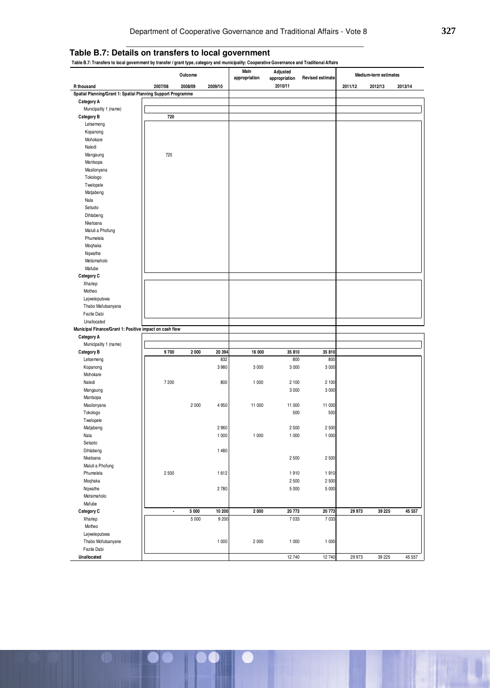## **Table B.7: Details on transfers to local government**

 **Table B.7: Transfers to local government by transfer / grant type, category and municipality: Cooperative Governance and Traditional Affairs**

| rable D.T. Fransiers to local government by transier / grant type, category and mumcipality. Cooperative Governance and Traditional Analis |                | Outcome |         | Main          | Adjusted      |                         |         | Medium-term estimates |         |
|--------------------------------------------------------------------------------------------------------------------------------------------|----------------|---------|---------|---------------|---------------|-------------------------|---------|-----------------------|---------|
|                                                                                                                                            |                |         |         | appropriation | appropriation | <b>Revised estimate</b> |         |                       |         |
| R thousand                                                                                                                                 | 2007/08        | 2008/09 | 2009/10 |               | 2010/11       |                         | 2011/12 | 2012/13               | 2013/14 |
| Spatial Planning/Grant 1: Spatial Planning Support Programme                                                                               |                |         |         |               |               |                         |         |                       |         |
| Category A                                                                                                                                 |                |         |         |               |               |                         |         |                       |         |
| Municipality 1 (name)                                                                                                                      |                |         |         |               |               |                         |         |                       |         |
| <b>Category B</b>                                                                                                                          | 720            |         |         |               |               |                         |         |                       |         |
| Letsemeng                                                                                                                                  |                |         |         |               |               |                         |         |                       |         |
| Kopanong                                                                                                                                   |                |         |         |               |               |                         |         |                       |         |
| Mohokare                                                                                                                                   |                |         |         |               |               |                         |         |                       |         |
| Naledi                                                                                                                                     |                |         |         |               |               |                         |         |                       |         |
| Mangaung                                                                                                                                   | 720            |         |         |               |               |                         |         |                       |         |
| Mantsopa                                                                                                                                   |                |         |         |               |               |                         |         |                       |         |
| Masilonyana                                                                                                                                |                |         |         |               |               |                         |         |                       |         |
| Tokologo                                                                                                                                   |                |         |         |               |               |                         |         |                       |         |
| Twelopele                                                                                                                                  |                |         |         |               |               |                         |         |                       |         |
| Matjabeng                                                                                                                                  |                |         |         |               |               |                         |         |                       |         |
| Nala                                                                                                                                       |                |         |         |               |               |                         |         |                       |         |
| Setsoto                                                                                                                                    |                |         |         |               |               |                         |         |                       |         |
| Dihlabeng                                                                                                                                  |                |         |         |               |               |                         |         |                       |         |
| Nketoana                                                                                                                                   |                |         |         |               |               |                         |         |                       |         |
| Maluti a Phofung                                                                                                                           |                |         |         |               |               |                         |         |                       |         |
| Phumelela                                                                                                                                  |                |         |         |               |               |                         |         |                       |         |
| Moqhaka                                                                                                                                    |                |         |         |               |               |                         |         |                       |         |
| Nqwathe                                                                                                                                    |                |         |         |               |               |                         |         |                       |         |
| Metsimaholo                                                                                                                                |                |         |         |               |               |                         |         |                       |         |
| Mafube                                                                                                                                     |                |         |         |               |               |                         |         |                       |         |
|                                                                                                                                            |                |         |         |               |               |                         |         |                       |         |
| Category C                                                                                                                                 |                |         |         |               |               |                         |         |                       |         |
| Xhariep                                                                                                                                    |                |         |         |               |               |                         |         |                       |         |
| Motheo                                                                                                                                     |                |         |         |               |               |                         |         |                       |         |
| Lejweleputswa                                                                                                                              |                |         |         |               |               |                         |         |                       |         |
| Thabo Mafutsanyana                                                                                                                         |                |         |         |               |               |                         |         |                       |         |
| Fezile Dabi                                                                                                                                |                |         |         |               |               |                         |         |                       |         |
| Unallocated                                                                                                                                |                |         |         |               |               |                         |         |                       |         |
| Municipal Finance/Grant 1: Positive impact on cash flow                                                                                    |                |         |         |               |               |                         |         |                       |         |
| Category A                                                                                                                                 |                |         |         |               |               |                         |         |                       |         |
| Municipality 1 (name)                                                                                                                      |                |         |         |               |               |                         |         |                       |         |
| <b>Category B</b>                                                                                                                          | 9700           | 2000    | 20 394  | 16 000        | 35 810        | 35 810                  |         |                       |         |
| Letsemeng                                                                                                                                  |                |         | 832     |               | 800           | 800                     |         |                       |         |
| Kopanong                                                                                                                                   |                |         | 3 9 8 0 | 3 0 0 0       | 3 0 0 0       | 3 0 0 0                 |         |                       |         |
| Mohokare                                                                                                                                   |                |         |         |               |               |                         |         |                       |         |
| Naledi                                                                                                                                     | 7 200          |         | 800     | 1 0 0 0       | 2 100         | 2 100                   |         |                       |         |
| Mangaung                                                                                                                                   |                |         |         |               | 3 0 0 0       | 3 0 0 0                 |         |                       |         |
| Mantsopa                                                                                                                                   |                |         |         |               |               |                         |         |                       |         |
| Masilonyana                                                                                                                                |                | 2 0 0 0 | 4 9 5 0 | 11 000        | 11 000        | 11 000                  |         |                       |         |
| Tokologo                                                                                                                                   |                |         |         |               | 500           | 500                     |         |                       |         |
| Twelopele                                                                                                                                  |                |         |         |               |               |                         |         |                       |         |
| Matjabeng                                                                                                                                  |                |         | 2 9 6 0 |               | 2 500         | 2 500                   |         |                       |         |
| Nala                                                                                                                                       |                |         | 1 0 0 0 | 1 0 0 0       | 1 0 0 0       | 1 000                   |         |                       |         |
| Setsoto                                                                                                                                    |                |         |         |               |               |                         |         |                       |         |
| Dihlabeng                                                                                                                                  |                |         | 1480    |               |               |                         |         |                       |         |
| Nketoana                                                                                                                                   |                |         |         |               |               |                         |         |                       |         |
|                                                                                                                                            |                |         |         |               | 2 500         | 2 500                   |         |                       |         |
| Maluti a Phofung                                                                                                                           |                |         |         |               |               |                         |         |                       |         |
| Phumelela                                                                                                                                  | 2500           |         | 1612    |               | 1910          | 1910                    |         |                       |         |
| Moqhaka                                                                                                                                    |                |         |         |               | 2 500         | 2 500                   |         |                       |         |
| Nqwathe                                                                                                                                    |                |         | 2780    |               | 5 000         | 5 0 0 0                 |         |                       |         |
| Metsimaholo                                                                                                                                |                |         |         |               |               |                         |         |                       |         |
| Mafube                                                                                                                                     |                |         |         |               |               |                         |         |                       |         |
| Category C                                                                                                                                 | $\blacksquare$ | 5 0 0 0 | 10 200  | 2000          | 20773         | 20773                   | 29 973  | 39 225                | 45 557  |
| Xhariep                                                                                                                                    |                | 5 0 0 0 | 9 2 0 0 |               | 7 0 3 3       | 7 0 3 3                 |         |                       |         |
| Motheo                                                                                                                                     |                |         |         |               |               |                         |         |                       |         |
| Lejweleputswa                                                                                                                              |                |         |         |               |               |                         |         |                       |         |
| Thabo Mofutsanyane                                                                                                                         |                |         | 1 0 0 0 | 2 0 0 0       | 1 000         | 1 0 0 0                 |         |                       |         |
| Fezile Dabi                                                                                                                                |                |         |         |               |               |                         |         |                       |         |
| Unallocated                                                                                                                                |                |         |         |               | 12 740        | 12 740                  | 29 973  | 39 225                | 45 557  |